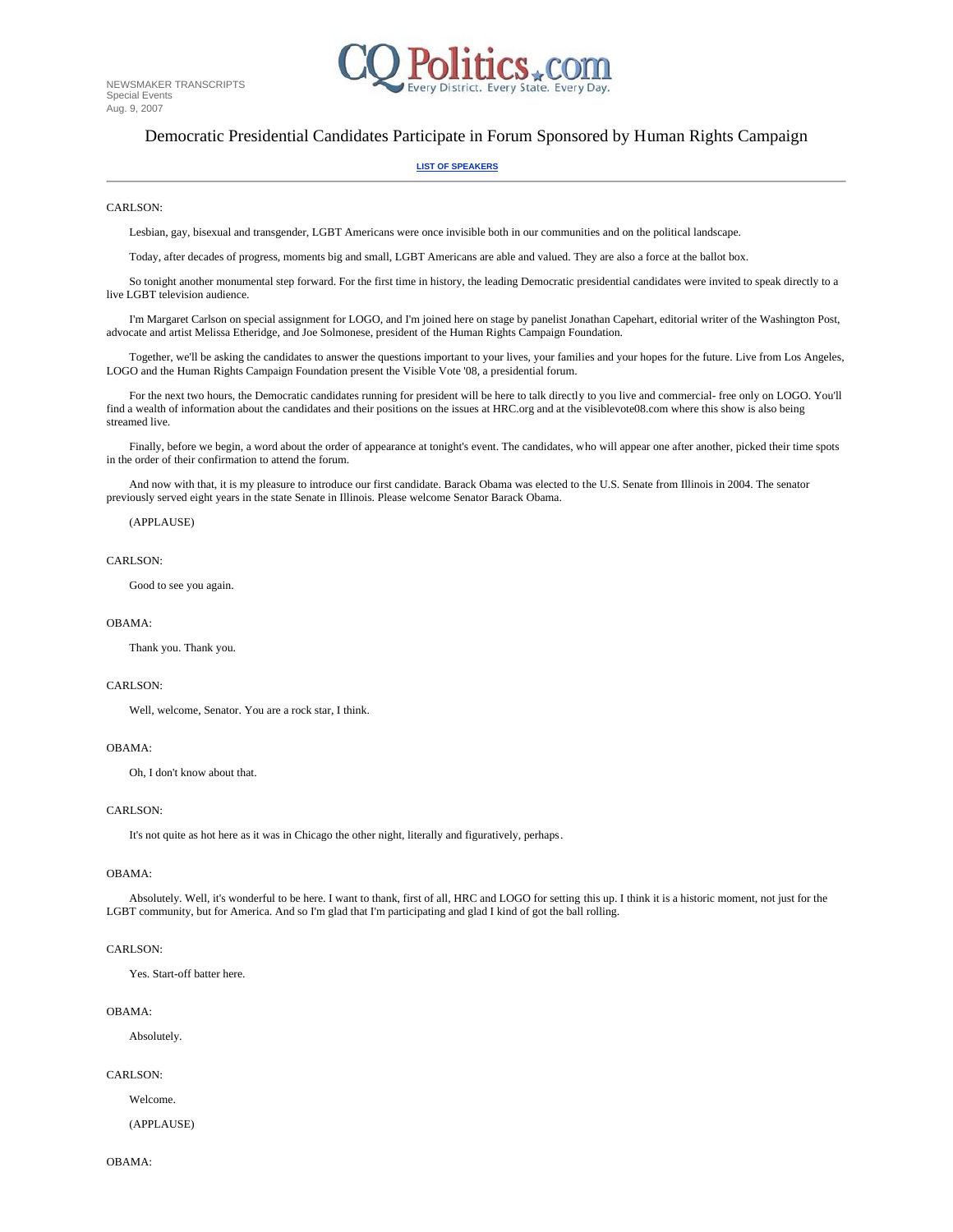

# Democratic Presidential Candidates Participate in Forum Sponsored by Human Rights Campaign

#### **LIST OF SPEAKERS**

### CARLSON<sup>.</sup>

Lesbian, gay, bisexual and transgender, LGBT Americans were once invisible both in our communities and on the political landscape.

Today, after decades of progress, moments big and small, LGBT Americans are able and valued. They are also a force at the ballot box.

 So tonight another monumental step forward. For the first time in history, the leading Democratic presidential candidates were invited to speak directly to a live LGBT television audience.

 I'm Margaret Carlson on special assignment for LOGO, and I'm joined here on stage by panelist Jonathan Capehart, editorial writer of the Washington Post, advocate and artist Melissa Etheridge, and Joe Solmonese, president of the Human Rights Campaign Foundation.

 Together, we'll be asking the candidates to answer the questions important to your lives, your families and your hopes for the future. Live from Los Angeles, LOGO and the Human Rights Campaign Foundation present the Visible Vote '08, a presidential forum.

 For the next two hours, the Democratic candidates running for president will be here to talk directly to you live and commercial- free only on LOGO. You'll find a wealth of information about the candidates and their positions on the issues at HRC.org and at the visiblevote08.com where this show is also being streamed live.

 Finally, before we begin, a word about the order of appearance at tonight's event. The candidates, who will appear one after another, picked their time spots in the order of their confirmation to attend the forum.

 And now with that, it is my pleasure to introduce our first candidate. Barack Obama was elected to the U.S. Senate from Illinois in 2004. The senator previously served eight years in the state Senate in Illinois. Please welcome Senator Barack Obama.

# (APPLAUSE)

### CARLSON:

Good to see you again.

### OBAMA:

Thank you. Thank you.

# CARLSON:

Well, welcome, Senator. You are a rock star, I think.

## OBAMA:

Oh, I don't know about that.

# CARLSON:

It's not quite as hot here as it was in Chicago the other night, literally and figuratively, perhaps.

#### OBAMA:

 Absolutely. Well, it's wonderful to be here. I want to thank, first of all, HRC and LOGO for setting this up. I think it is a historic moment, not just for the LGBT community, but for America. And so I'm glad that I'm participating and glad I kind of got the ball rolling.

### CARLSON<sup>.</sup>

Yes. Start-off batter here.

### OBAMA:

Absolutely.

### CARLSON:

 Welcome. (APPLAUSE)

OBAMA: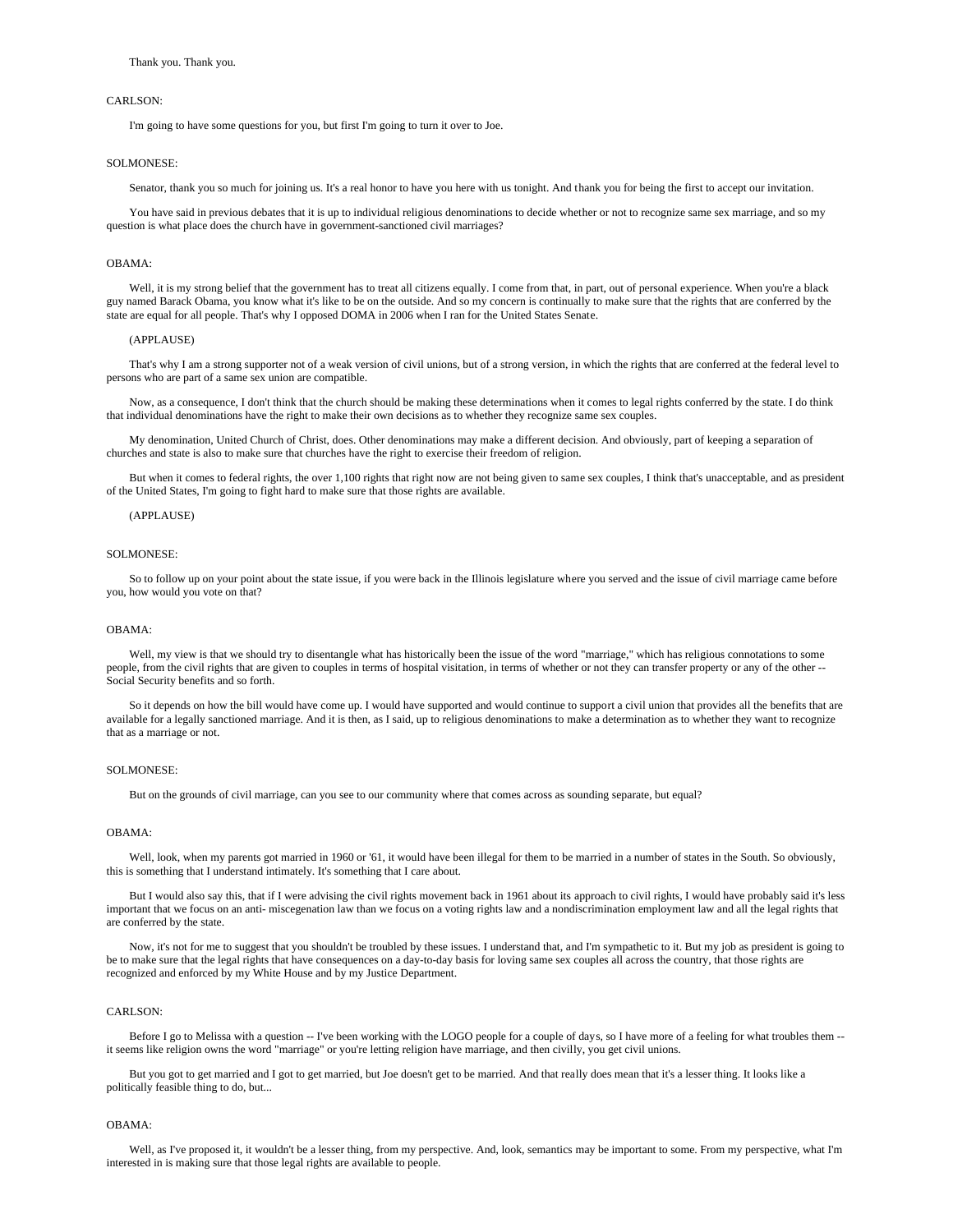I'm going to have some questions for you, but first I'm going to turn it over to Joe.

### SOLMONESE:

Senator, thank you so much for joining us. It's a real honor to have you here with us tonight. And thank you for being the first to accept our invitation.

You have said in previous debates that it is up to individual religious denominations to decide whether or not to recognize same sex marriage, and so my question is what place does the church have in government-sanctioned civil marriages?

### OBAMA:

Well, it is my strong belief that the government has to treat all citizens equally. I come from that, in part, out of personal experience. When you're a black guy named Barack Obama, you know what it's like to be on the outside. And so my concern is continually to make sure that the rights that are conferred by the state are equal for all people. That's why I opposed DOMA in 2006 when I ran for the United States Senate.

#### (APPLAUSE)

 That's why I am a strong supporter not of a weak version of civil unions, but of a strong version, in which the rights that are conferred at the federal level to persons who are part of a same sex union are compatible.

 Now, as a consequence, I don't think that the church should be making these determinations when it comes to legal rights conferred by the state. I do think that individual denominations have the right to make their own decisions as to whether they recognize same sex couples.

 My denomination, United Church of Christ, does. Other denominations may make a different decision. And obviously, part of keeping a separation of churches and state is also to make sure that churches have the right to exercise their freedom of religion.

 But when it comes to federal rights, the over 1,100 rights that right now are not being given to same sex couples, I think that's unacceptable, and as president of the United States, I'm going to fight hard to make sure that those rights are available.

### (APPLAUSE)

## SOLMONESE:

 So to follow up on your point about the state issue, if you were back in the Illinois legislature where you served and the issue of civil marriage came before you, how would you vote on that?

### OBAMA:

Well, my view is that we should try to disentangle what has historically been the issue of the word "marriage," which has religious connotations to some people, from the civil rights that are given to couples in terms of hospital visitation, in terms of whether or not they can transfer property or any of the other -- Social Security benefits and so forth.

So it depends on how the bill would have come up. I would have supported and would continue to support a civil union that provides all the benefits that are available for a legally sanctioned marriage. And it is then, as I said, up to religious denominations to make a determination as to whether they want to recognize that as a marriage or not.

#### SOLMONESE:

But on the grounds of civil marriage, can you see to our community where that comes across as sounding separate, but equal?

### OBAMA:

 Well, look, when my parents got married in 1960 or '61, it would have been illegal for them to be married in a number of states in the South. So obviously, this is something that I understand intimately. It's something that I care about.

 But I would also say this, that if I were advising the civil rights movement back in 1961 about its approach to civil rights, I would have probably said it's less important that we focus on an anti- miscegenation law than we focus on a voting rights law and a nondiscrimination employment law and all the legal rights that are conferred by the state.

 Now, it's not for me to suggest that you shouldn't be troubled by these issues. I understand that, and I'm sympathetic to it. But my job as president is going to be to make sure that the legal rights that have consequences on a day-to-day basis for loving same sex couples all across the country, that those rights are recognized and enforced by my White House and by my Justice Department.

### CARLSON<sup>.</sup>

Before I go to Melissa with a question -- I've been working with the LOGO people for a couple of days, so I have more of a feeling for what troubles them -it seems like religion owns the word "marriage" or you're letting religion have marriage, and then civilly, you get civil unions.

 But you got to get married and I got to get married, but Joe doesn't get to be married. And that really does mean that it's a lesser thing. It looks like a politically feasible thing to do, but...

#### OBAMA:

 Well, as I've proposed it, it wouldn't be a lesser thing, from my perspective. And, look, semantics may be important to some. From my perspective, what I'm interested in is making sure that those legal rights are available to people.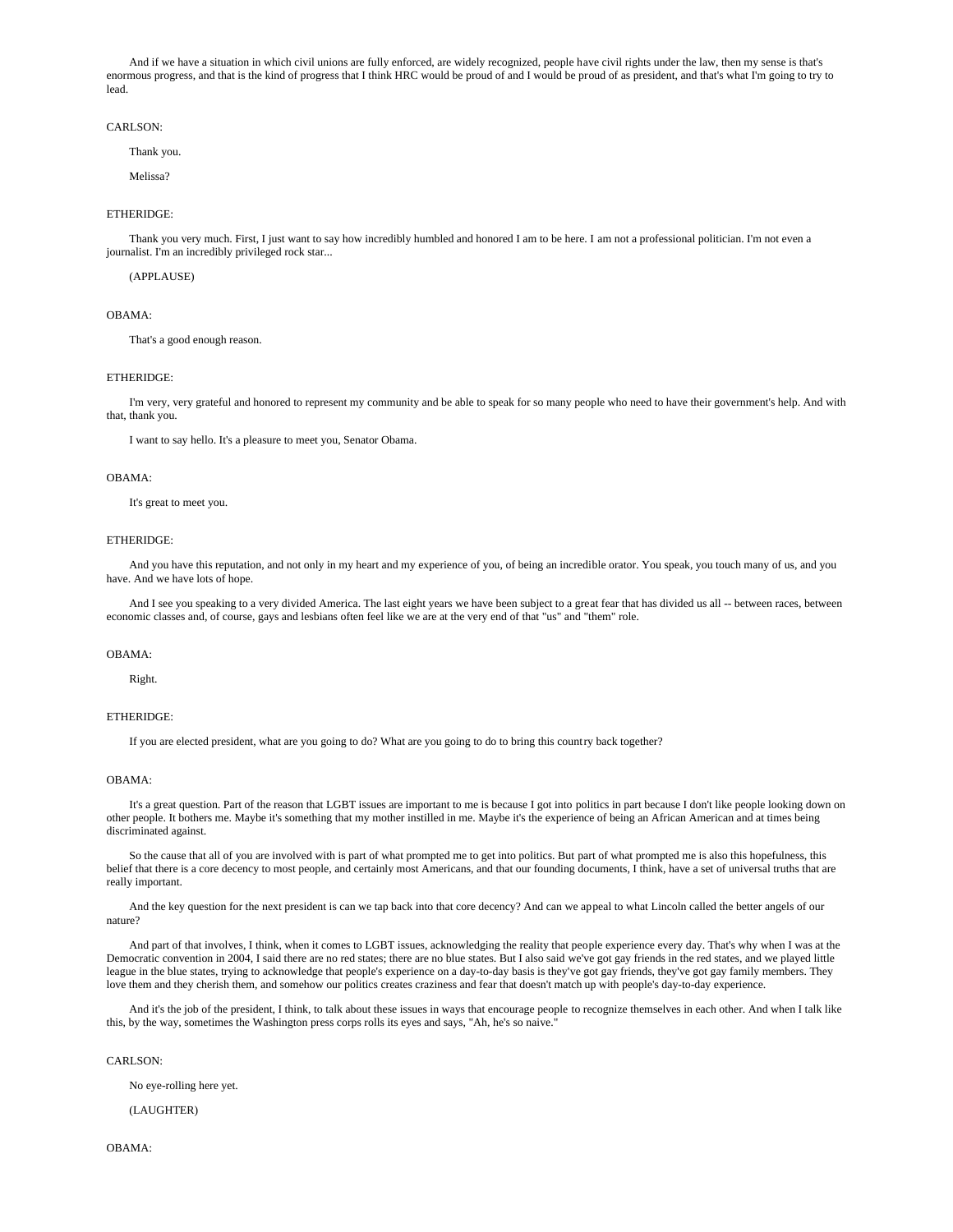And if we have a situation in which civil unions are fully enforced, are widely recognized, people have civil rights under the law, then my sense is that's enormous progress, and that is the kind of progress that I think HRC would be proud of and I would be proud of as president, and that's what I'm going to try to lead.

### CARLSON:

Thank you.

Melissa?

# ETHERIDGE:

 Thank you very much. First, I just want to say how incredibly humbled and honored I am to be here. I am not a professional politician. I'm not even a journalist. I'm an incredibly privileged rock star...

(APPLAUSE)

### OBAMA:

That's a good enough reason.

### ETHERIDGE:

 I'm very, very grateful and honored to represent my community and be able to speak for so many people who need to have their government's help. And with that, thank you.

I want to say hello. It's a pleasure to meet you, Senator Obama.

# OBAMA:

It's great to meet you.

#### ETHERIDGE:

 And you have this reputation, and not only in my heart and my experience of you, of being an incredible orator. You speak, you touch many of us, and you have. And we have lots of hope.

And I see you speaking to a very divided America. The last eight years we have been subject to a great fear that has divided us all -- between races, between economic classes and, of course, gays and lesbians often feel like we are at the very end of that "us" and "them" role.

### OBAMA:

Right.

# ETHERIDGE:

If you are elected president, what are you going to do? What are you going to do to bring this country back together?

### OBAMA:

 It's a great question. Part of the reason that LGBT issues are important to me is because I got into politics in part because I don't like people looking down on other people. It bothers me. Maybe it's something that my mother instilled in me. Maybe it's the experience of being an African American and at times being discriminated against.

 So the cause that all of you are involved with is part of what prompted me to get into politics. But part of what prompted me is also this hopefulness, this belief that there is a core decency to most people, and certainly most Americans, and that our founding documents, I think, have a set of universal truths that are really important.

 And the key question for the next president is can we tap back into that core decency? And can we appeal to what Lincoln called the better angels of our nature?

 And part of that involves, I think, when it comes to LGBT issues, acknowledging the reality that people experience every day. That's why when I was at the Democratic convention in 2004, I said there are no red states; there are no blue states. But I also said we've got gay friends in the red states, and we played little league in the blue states, trying to acknowledge that people's experience on a day-to-day basis is they've got gay friends, they've got gay family members. They love them and they cherish them, and somehow our politics creates craziness and fear that doesn't match up with people's day-to-day experience.

 And it's the job of the president, I think, to talk about these issues in ways that encourage people to recognize themselves in each other. And when I talk like this, by the way, sometimes the Washington press corps rolls its eyes and says, "Ah, he's so naive."

### CARLSON:

No eye-rolling here yet.

(LAUGHTER)

OBAMA: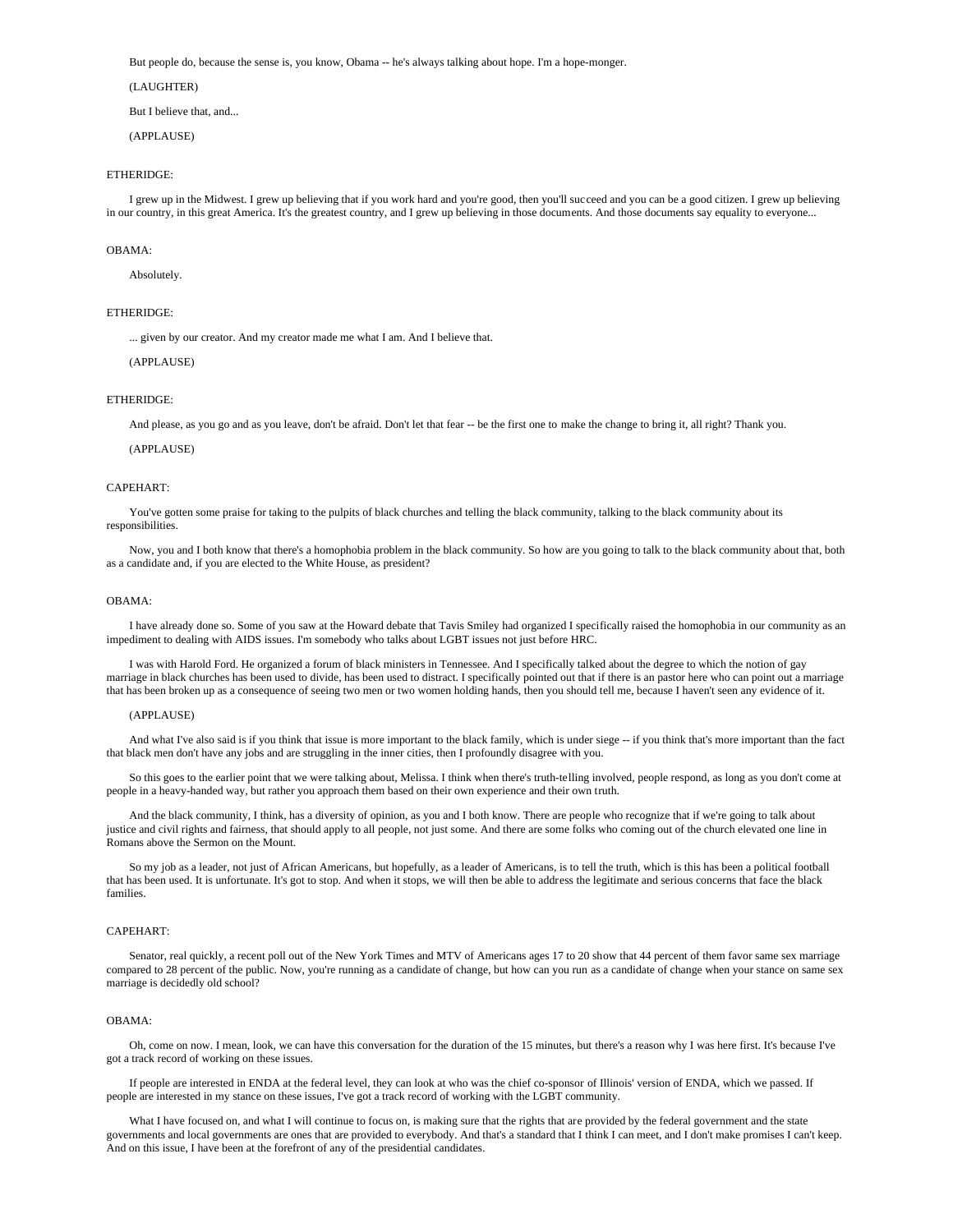But people do, because the sense is, you know, Obama -- he's always talking about hope. I'm a hope-monger.

(LAUGHTER)

But I believe that, and...

(APPLAUSE)

## ETHERIDGE:

 I grew up in the Midwest. I grew up believing that if you work hard and you're good, then you'll succeed and you can be a good citizen. I grew up believing in our country, in this great America. It's the greatest country, and I grew up believing in those documents. And those documents say equality to everyone...

#### OBAMA:

Absolutely.

### ETHERIDGE:

... given by our creator. And my creator made me what I am. And I believe that.

(APPLAUSE)

## ETHERIDGE:

And please, as you go and as you leave, don't be afraid. Don't let that fear -- be the first one to make the change to bring it, all right? Thank you.

#### (APPLAUSE)

#### CAPEHART:

 You've gotten some praise for taking to the pulpits of black churches and telling the black community, talking to the black community about its responsibilities.

 Now, you and I both know that there's a homophobia problem in the black community. So how are you going to talk to the black community about that, both as a candidate and, if you are elected to the White House, as president?

### OBAMA:

 I have already done so. Some of you saw at the Howard debate that Tavis Smiley had organized I specifically raised the homophobia in our community as an impediment to dealing with AIDS issues. I'm somebody who talks about LGBT issues not just before HRC.

 I was with Harold Ford. He organized a forum of black ministers in Tennessee. And I specifically talked about the degree to which the notion of gay marriage in black churches has been used to divide, has been used to distract. I specifically pointed out that if there is an pastor here who can point out a marriage that has been broken up as a consequence of seeing two men or two women holding hands, then you should tell me, because I haven't seen any evidence of it.

#### (APPLAUSE)

And what I've also said is if you think that issue is more important to the black family, which is under siege -- if you think that's more important than the fact that black men don't have any jobs and are struggling in the inner cities, then I profoundly disagree with you.

 So this goes to the earlier point that we were talking about, Melissa. I think when there's truth-telling involved, people respond, as long as you don't come at people in a heavy-handed way, but rather you approach them based on their own experience and their own truth.

 And the black community, I think, has a diversity of opinion, as you and I both know. There are people who recognize that if we're going to talk about justice and civil rights and fairness, that should apply to all people, not just some. And there are some folks who coming out of the church elevated one line in Romans above the Sermon on the Mount.

So my job as a leader, not just of African Americans, but hopefully, as a leader of Americans, is to tell the truth, which is this has been a political football that has been used. It is unfortunate. It's got to stop. And when it stops, we will then be able to address the legitimate and serious concerns that face the black families.

### CAPEHART:

 Senator, real quickly, a recent poll out of the New York Times and MTV of Americans ages 17 to 20 show that 44 percent of them favor same sex marriage compared to 28 percent of the public. Now, you're running as a candidate of change, but how can you run as a candidate of change when your stance on same sex marriage is decidedly old school?

### OBAMA:

 Oh, come on now. I mean, look, we can have this conversation for the duration of the 15 minutes, but there's a reason why I was here first. It's because I've got a track record of working on these issues.

 If people are interested in ENDA at the federal level, they can look at who was the chief co-sponsor of Illinois' version of ENDA, which we passed. If people are interested in my stance on these issues, I've got a track record of working with the LGBT community.

 What I have focused on, and what I will continue to focus on, is making sure that the rights that are provided by the federal government and the state governments and local governments are ones that are provided to everybody. And that's a standard that I think I can meet, and I don't make promises I can't keep. And on this issue, I have been at the forefront of any of the presidential candidates.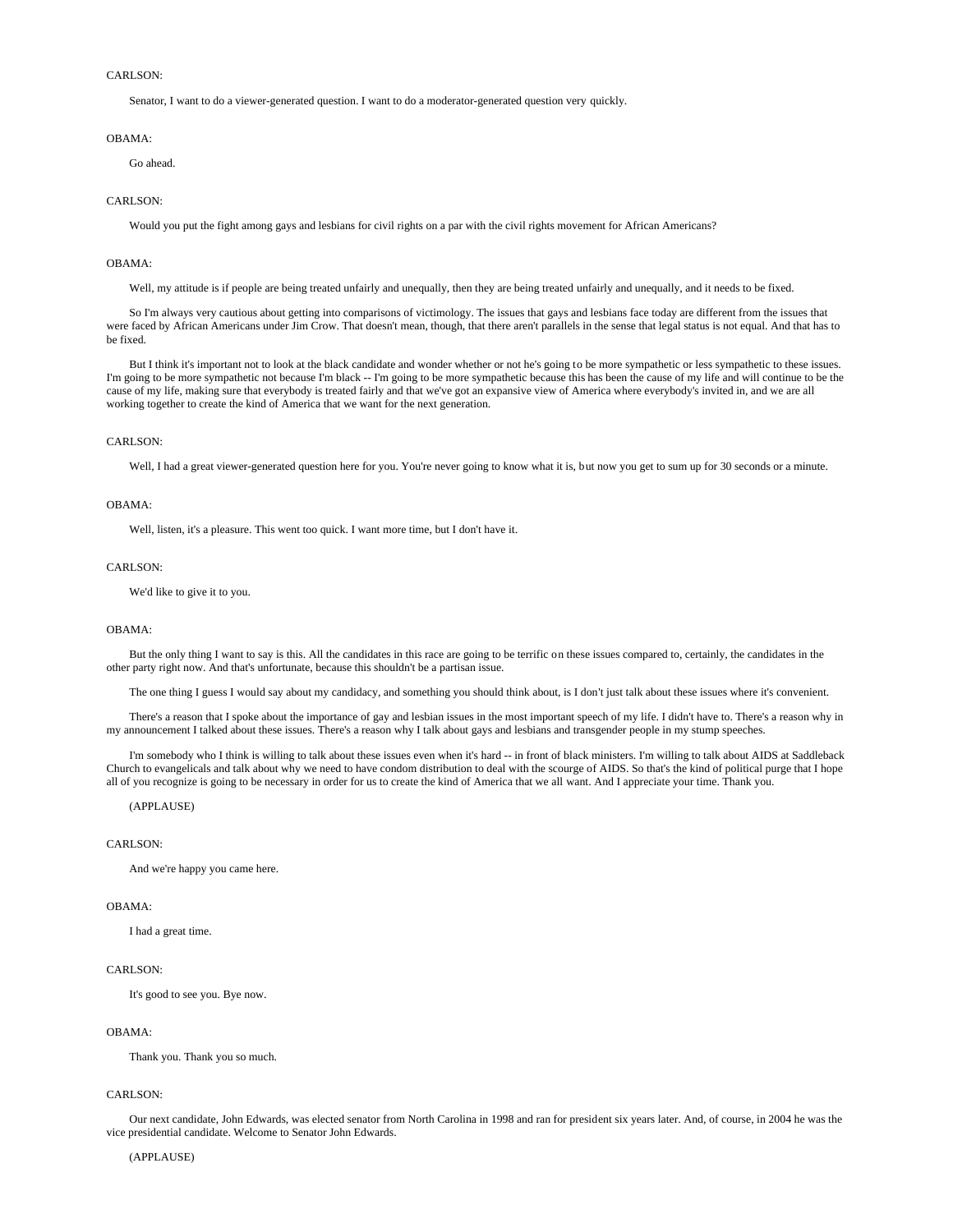Senator, I want to do a viewer-generated question. I want to do a moderator-generated question very quickly.

#### OBAMA:

Go ahead.

### CARLSON:

Would you put the fight among gays and lesbians for civil rights on a par with the civil rights movement for African Americans?

## OBAMA:

Well, my attitude is if people are being treated unfairly and unequally, then they are being treated unfairly and unequally, and it needs to be fixed.

 So I'm always very cautious about getting into comparisons of victimology. The issues that gays and lesbians face today are different from the issues that were faced by African Americans under Jim Crow. That doesn't mean, though, that there aren't parallels in the sense that legal status is not equal. And that has to be fixed.

 But I think it's important not to look at the black candidate and wonder whether or not he's going to be more sympathetic or less sympathetic to these issues. I'm going to be more sympathetic not because I'm black -- I'm going to be more sympathetic because this has been the cause of my life and will continue to be the cause of my life, making sure that everybody is treated fairly and that we've got an expansive view of America where everybody's invited in, and we are all working together to create the kind of America that we want for the next generation.

# CARLSON<sup>.</sup>

Well, I had a great viewer-generated question here for you. You're never going to know what it is, but now you get to sum up for 30 seconds or a minute.

### OBAMA:

Well, listen, it's a pleasure. This went too quick. I want more time, but I don't have it.

### CARLSON:

We'd like to give it to you.

### OBAMA:

 But the only thing I want to say is this. All the candidates in this race are going to be terrific on these issues compared to, certainly, the candidates in the other party right now. And that's unfortunate, because this shouldn't be a partisan issue.

The one thing I guess I would say about my candidacy, and something you should think about, is I don't just talk about these issues where it's convenient.

 There's a reason that I spoke about the importance of gay and lesbian issues in the most important speech of my life. I didn't have to. There's a reason why in my announcement I talked about these issues. There's a reason why I talk about gays and lesbians and transgender people in my stump speeches.

 I'm somebody who I think is willing to talk about these issues even when it's hard -- in front of black ministers. I'm willing to talk about AIDS at Saddleback Church to evangelicals and talk about why we need to have condom distribution to deal with the scourge of AIDS. So that's the kind of political purge that I hope all of you recognize is going to be necessary in order for us to create the kind of America that we all want. And I appreciate your time. Thank you.

# (APPLAUSE)

### CARLSON<sup>.</sup>

And we're happy you came here.

# OBAMA:

I had a great time.

### CARLSON:

It's good to see you. Bye now.

# OBAMA:

Thank you. Thank you so much.

## CARLSON:

 Our next candidate, John Edwards, was elected senator from North Carolina in 1998 and ran for president six years later. And, of course, in 2004 he was the vice presidential candidate. Welcome to Senator John Edwards.

#### (APPLAUSE)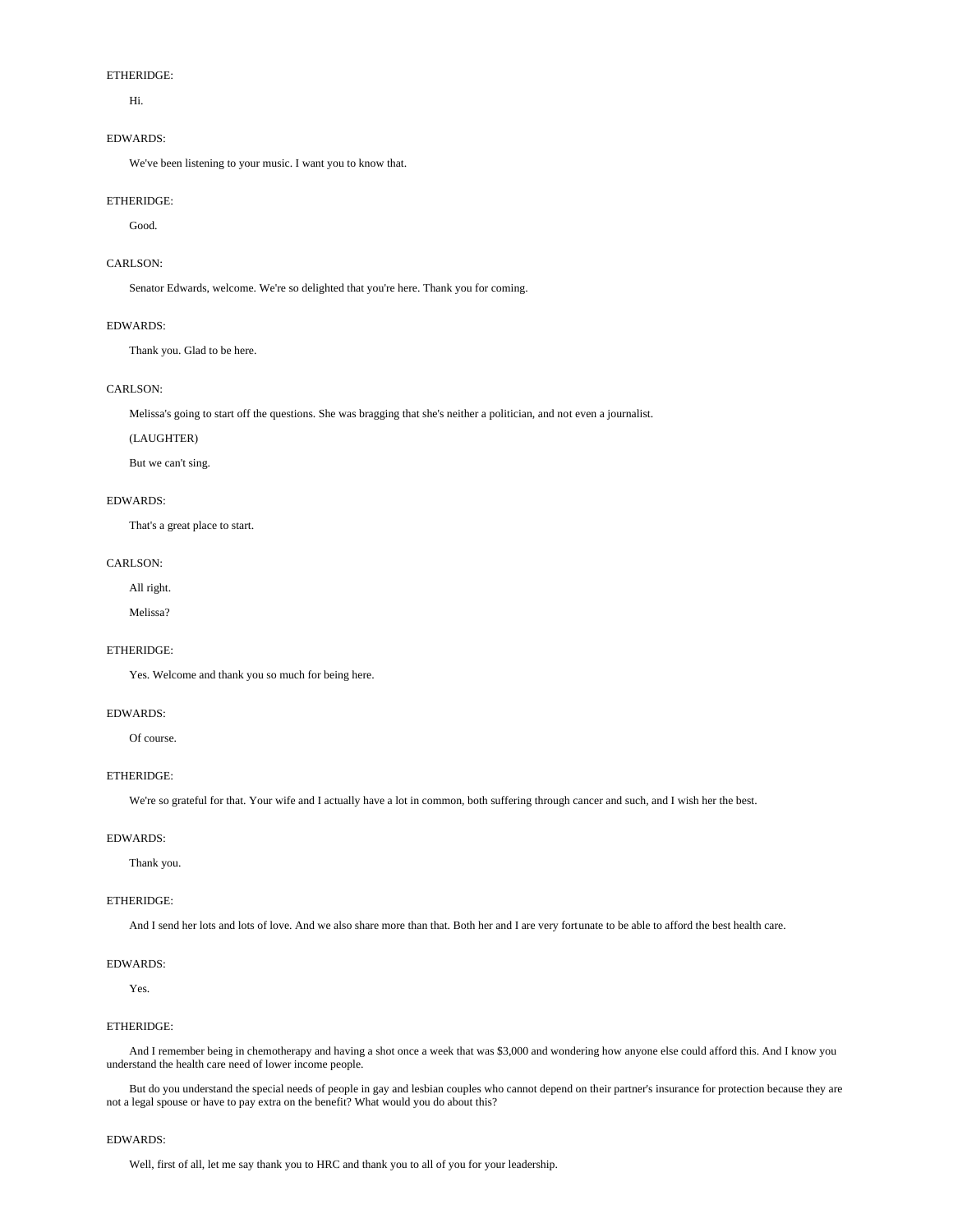# ETHERIDGE:

Hi.

# EDWARDS:

We've been listening to your music. I want you to know that.

### ETHERIDGE:

Good.

# CARLSON:

Senator Edwards, welcome. We're so delighted that you're here. Thank you for coming.

# EDWARDS:

Thank you. Glad to be here.

# CARLSON:

Melissa's going to start off the questions. She was bragging that she's neither a politician, and not even a journalist.

# (LAUGHTER)

But we can't sing.

# EDWARDS:

That's a great place to start.

# CARLSON:

All right.

Melissa?

# ETHERIDGE:

Yes. Welcome and thank you so much for being here.

# EDWARDS:

Of course.

# ETHERIDGE:

We're so grateful for that. Your wife and I actually have a lot in common, both suffering through cancer and such, and I wish her the best.

# EDWARDS:

Thank you.

# ETHERIDGE:

And I send her lots and lots of love. And we also share more than that. Both her and I are very fortunate to be able to afford the best health care.

# EDWARDS:

Yes.

# ETHERIDGE:

 And I remember being in chemotherapy and having a shot once a week that was \$3,000 and wondering how anyone else could afford this. And I know you understand the health care need of lower income people.

 But do you understand the special needs of people in gay and lesbian couples who cannot depend on their partner's insurance for protection because they are not a legal spouse or have to pay extra on the benefit? What would you do about this?

### EDWARDS:

Well, first of all, let me say thank you to HRC and thank you to all of you for your leadership.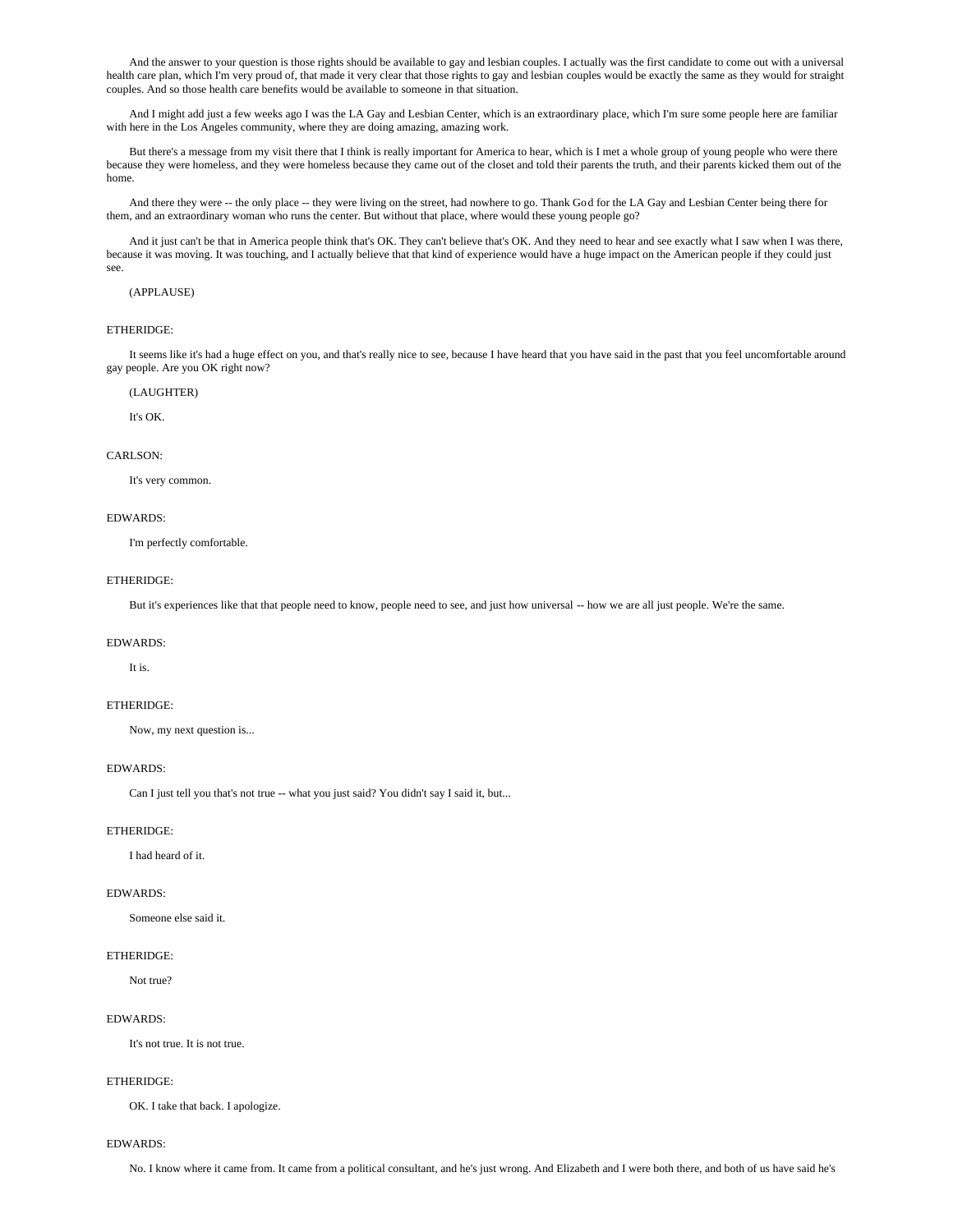And the answer to your question is those rights should be available to gay and lesbian couples. I actually was the first candidate to come out with a universal health care plan, which I'm very proud of, that made it very clear that those rights to gay and lesbian couples would be exactly the same as they would for straight couples. And so those health care benefits would be available to someone in that situation.

 And I might add just a few weeks ago I was the LA Gay and Lesbian Center, which is an extraordinary place, which I'm sure some people here are familiar with here in the Los Angeles community, where they are doing amazing, amazing work.

 But there's a message from my visit there that I think is really important for America to hear, which is I met a whole group of young people who were there because they were homeless, and they were homeless because they came out of the closet and told their parents the truth, and their parents kicked them out of the home.

 And there they were -- the only place -- they were living on the street, had nowhere to go. Thank God for the LA Gay and Lesbian Center being there for them, and an extraordinary woman who runs the center. But without that place, where would these young people go?

 And it just can't be that in America people think that's OK. They can't believe that's OK. And they need to hear and see exactly what I saw when I was there, because it was moving. It was touching, and I actually believe that that kind of experience would have a huge impact on the American people if they could just see.

# (APPLAUSE)

# ETHERIDGE:

 It seems like it's had a huge effect on you, and that's really nice to see, because I have heard that you have said in the past that you feel uncomfortable around gay people. Are you OK right now?

### (LAUGHTER)

It's  $\bigcap K$ 

### CARLSON:

It's very common.

### EDWARDS:

I'm perfectly comfortable.

# ETHERIDGE:

But it's experiences like that that people need to know, people need to see, and just how universal -- how we are all just people. We're the same.

#### EDWARDS:

It is.

### ETHERIDGE:

Now, my next question is...

# EDWARDS:

Can I just tell you that's not true -- what you just said? You didn't say I said it, but...

# ETHERIDGE:

I had heard of it.

# EDWARDS:

Someone else said it.

### ETHERIDGE:

Not true?

# EDWARDS:

It's not true. It is not true.

### ETHERIDGE:

OK. I take that back. I apologize.

### EDWARDS:

No. I know where it came from. It came from a political consultant, and he's just wrong. And Elizabeth and I were both there, and both of us have said he's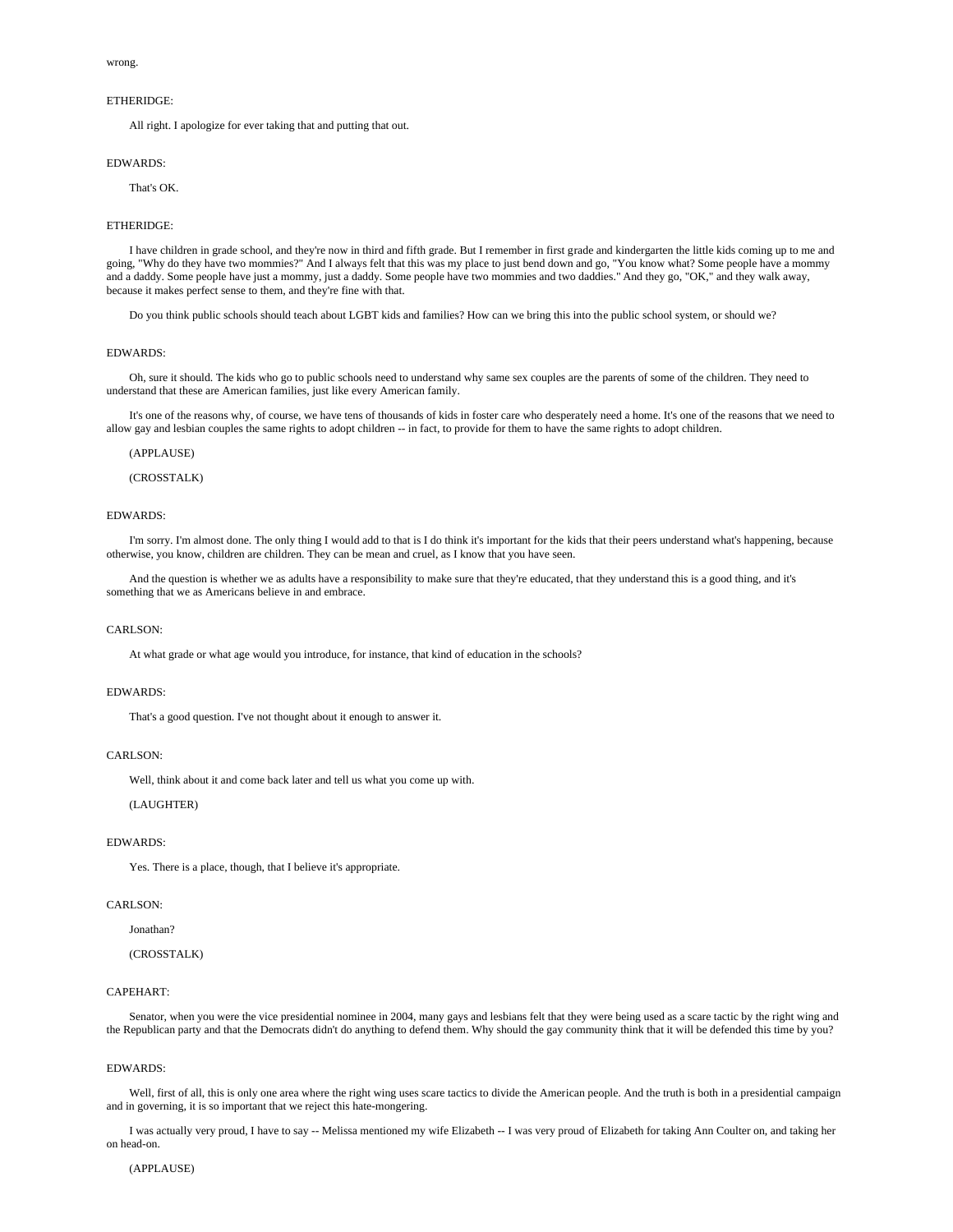#### wrong.

### ETHERIDGE:

All right. I apologize for ever taking that and putting that out.

### EDWARDS:

### That's OK.

#### ETHERIDGE:

 I have children in grade school, and they're now in third and fifth grade. But I remember in first grade and kindergarten the little kids coming up to me and going, "Why do they have two mommies?" And I always felt that this was my place to just bend down and go, "You know what? Some people have a mommy and a daddy. Some people have just a mommy, just a daddy. Some people have two mommies and two daddies." And they go, "OK," and they walk away, because it makes perfect sense to them, and they're fine with that.

Do you think public schools should teach about LGBT kids and families? How can we bring this into the public school system, or should we?

### EDWARDS:

 Oh, sure it should. The kids who go to public schools need to understand why same sex couples are the parents of some of the children. They need to understand that these are American families, just like every American family.

 It's one of the reasons why, of course, we have tens of thousands of kids in foster care who desperately need a home. It's one of the reasons that we need to allow gay and lesbian couples the same rights to adopt children -- in fact, to provide for them to have the same rights to adopt children.

### (APPLAUSE)

# (CROSSTALK)

#### EDWARDS:

 I'm sorry. I'm almost done. The only thing I would add to that is I do think it's important for the kids that their peers understand what's happening, because otherwise, you know, children are children. They can be mean and cruel, as I know that you have seen.

 And the question is whether we as adults have a responsibility to make sure that they're educated, that they understand this is a good thing, and it's something that we as Americans believe in and embrace.

### CARLSON:

At what grade or what age would you introduce, for instance, that kind of education in the schools?

#### EDWARDS:

That's a good question. I've not thought about it enough to answer it.

# CARLSON:

Well, think about it and come back later and tell us what you come up with.

# (LAUGHTER)

#### EDWARDS:

Yes. There is a place, though, that I believe it's appropriate.

## CARLSON:

Jonathan?

# (CROSSTALK)

# CAPEHART:

Senator, when you were the vice presidential nominee in 2004, many gays and lesbians felt that they were being used as a scare tactic by the right wing and the Republican party and that the Democrats didn't do anything to defend them. Why should the gay community think that it will be defended this time by you?

### EDWARDS:

Well, first of all, this is only one area where the right wing uses scare tactics to divide the American people. And the truth is both in a presidential campaign and in governing, it is so important that we reject this hate-mongering.

 I was actually very proud, I have to say -- Melissa mentioned my wife Elizabeth -- I was very proud of Elizabeth for taking Ann Coulter on, and taking her on head-on.

### (APPLAUSE)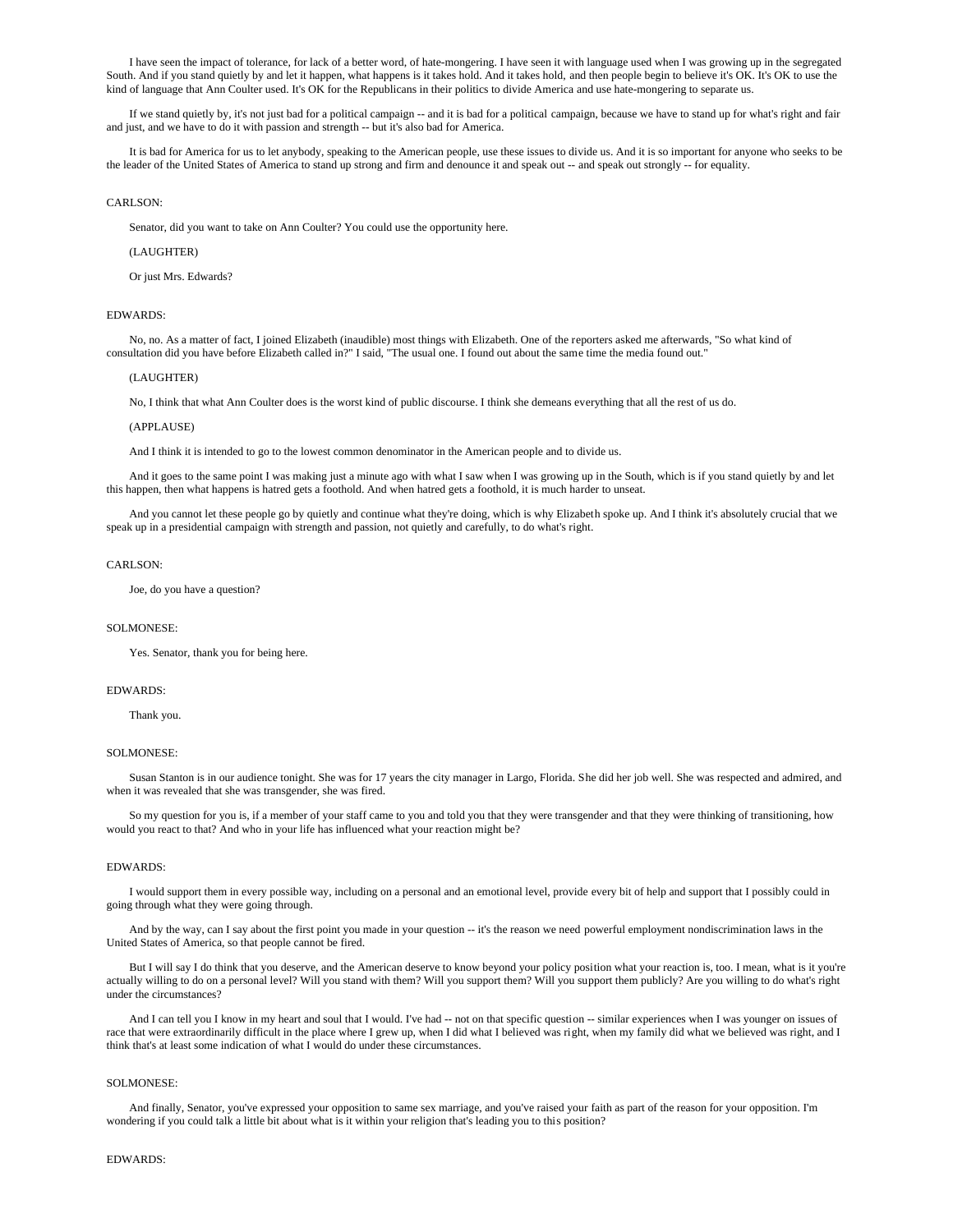I have seen the impact of tolerance, for lack of a better word, of hate-mongering. I have seen it with language used when I was growing up in the segregated South. And if you stand quietly by and let it happen, what happens is it takes hold. And it takes hold, and then people begin to believe it's OK. It's OK to use the kind of language that Ann Coulter used. It's OK for the Republicans in their politics to divide America and use hate-mongering to separate us.

 If we stand quietly by, it's not just bad for a political campaign -- and it is bad for a political campaign, because we have to stand up for what's right and fair and just, and we have to do it with passion and strength -- but it's also bad for America.

 It is bad for America for us to let anybody, speaking to the American people, use these issues to divide us. And it is so important for anyone who seeks to be the leader of the United States of America to stand up strong and firm and denounce it and speak out -- and speak out strongly -- for equality.

## CARLSON:

Senator, did you want to take on Ann Coulter? You could use the opportunity here.

#### (LAUGHTER)

Or just Mrs. Edwards?

### EDWARDS:

 No, no. As a matter of fact, I joined Elizabeth (inaudible) most things with Elizabeth. One of the reporters asked me afterwards, "So what kind of consultation did you have before Elizabeth called in?" I said, "The usual one. I found out about the same time the media found out."

#### (LAUGHTER)

No, I think that what Ann Coulter does is the worst kind of public discourse. I think she demeans everything that all the rest of us do.

### (APPLAUSE)

And I think it is intended to go to the lowest common denominator in the American people and to divide us.

 And it goes to the same point I was making just a minute ago with what I saw when I was growing up in the South, which is if you stand quietly by and let this happen, then what happens is hatred gets a foothold. And when hatred gets a foothold, it is much harder to unseat.

 And you cannot let these people go by quietly and continue what they're doing, which is why Elizabeth spoke up. And I think it's absolutely crucial that we speak up in a presidential campaign with strength and passion, not quietly and carefully, to do what's right.

#### CARLSON<sup>.</sup>

Joe, do you have a question?

#### SOLMONESE:

Yes. Senator, thank you for being here.

### EDWARDS:

Thank you.

#### SOLMONESE:

 Susan Stanton is in our audience tonight. She was for 17 years the city manager in Largo, Florida. She did her job well. She was respected and admired, and when it was revealed that she was transgender, she was fired.

So my question for you is, if a member of your staff came to you and told you that they were transgender and that they were thinking of transitioning, how would you react to that? And who in your life has influenced what your reaction might be?

### EDWARDS:

 I would support them in every possible way, including on a personal and an emotional level, provide every bit of help and support that I possibly could in going through what they were going through.

And by the way, can I say about the first point you made in your question -- it's the reason we need powerful employment nondiscrimination laws in the United States of America, so that people cannot be fired.

 But I will say I do think that you deserve, and the American deserve to know beyond your policy position what your reaction is, too. I mean, what is it you're actually willing to do on a personal level? Will you stand with them? Will you support them? Will you support them publicly? Are you willing to do what's right under the circumstances?

And I can tell you I know in my heart and soul that I would. I've had -- not on that specific question -- similar experiences when I was younger on issues of race that were extraordinarily difficult in the place where I grew up, when I did what I believed was right, when my family did what we believed was right, and I think that's at least some indication of what I would do under these circumstances.

### SOLMONESE:

 And finally, Senator, you've expressed your opposition to same sex marriage, and you've raised your faith as part of the reason for your opposition. I'm wondering if you could talk a little bit about what is it within your religion that's leading you to this position?

### EDWARDS: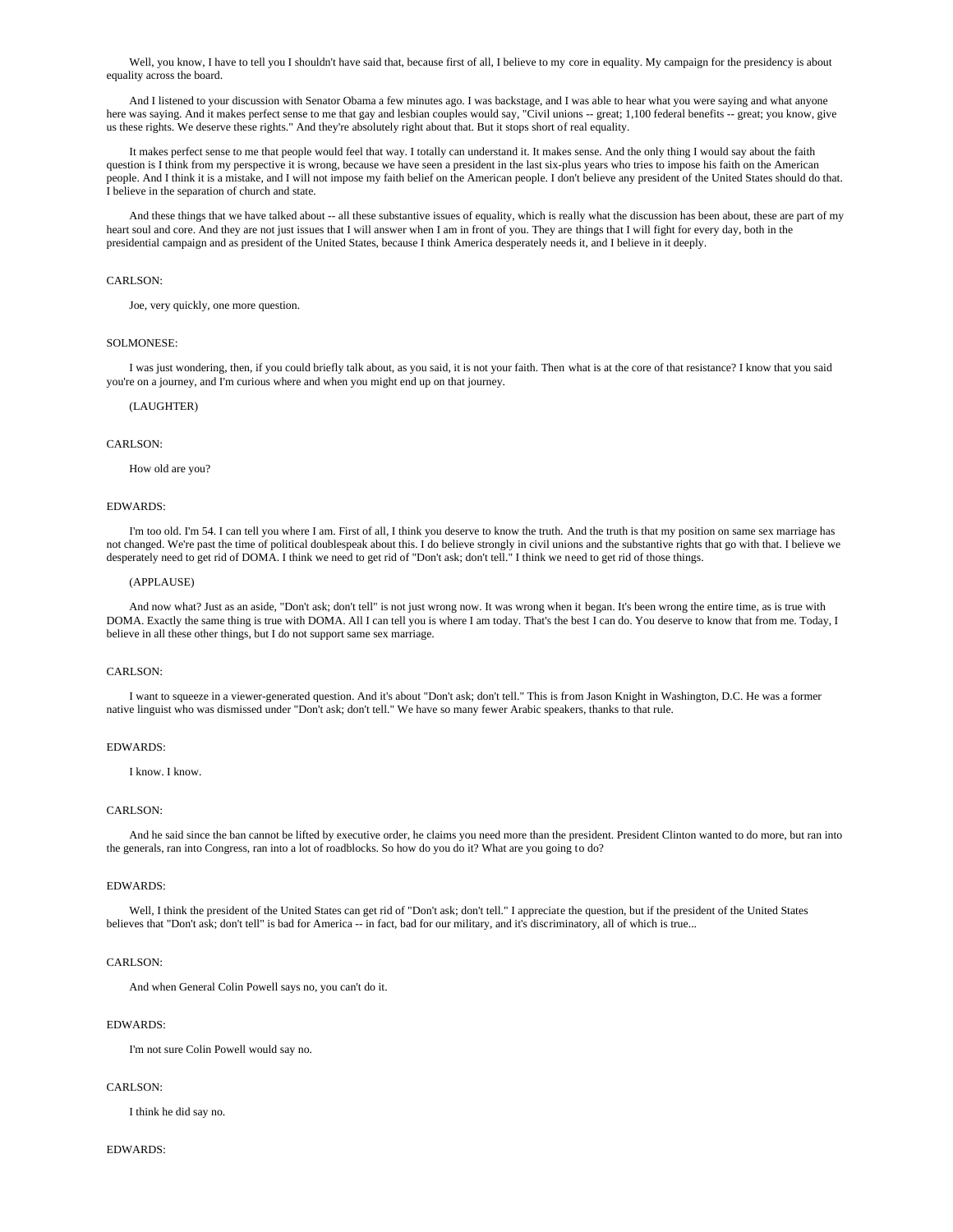Well, you know, I have to tell you I shouldn't have said that, because first of all, I believe to my core in equality. My campaign for the presidency is about equality across the board.

And I listened to your discussion with Senator Obama a few minutes ago. I was backstage, and I was able to hear what you were saying and what anyone here was saying. And it makes perfect sense to me that gay and lesbian couples would say, "Civil unions -- great; 1,100 federal benefits -- great; you know, give us these rights. We deserve these rights." And they're absolutely right about that. But it stops short of real equality.

 It makes perfect sense to me that people would feel that way. I totally can understand it. It makes sense. And the only thing I would say about the faith question is I think from my perspective it is wrong, because we have seen a president in the last six-plus years who tries to impose his faith on the American people. And I think it is a mistake, and I will not impose my faith belief on the American people. I don't believe any president of the United States should do that. I believe in the separation of church and state.

And these things that we have talked about -- all these substantive issues of equality, which is really what the discussion has been about, these are part of my heart soul and core. And they are not just issues that I will answer when I am in front of you. They are things that I will fight for every day, both in the presidential campaign and as president of the United States, because I think America desperately needs it, and I believe in it deeply.

# CARLSON:

Joe, very quickly, one more question.

## SOLMONESE:

 I was just wondering, then, if you could briefly talk about, as you said, it is not your faith. Then what is at the core of that resistance? I know that you said you're on a journey, and I'm curious where and when you might end up on that journey.

#### (LAUGHTER)

## CARLSON:

How old are you?

### EDWARDS:

 I'm too old. I'm 54. I can tell you where I am. First of all, I think you deserve to know the truth. And the truth is that my position on same sex marriage has not changed. We're past the time of political doublespeak about this. I do believe strongly in civil unions and the substantive rights that go with that. I believe we desperately need to get rid of DOMA. I think we need to get rid of "Don't ask; don't tell." I think we need to get rid of those things.

## (APPLAUSE)

 And now what? Just as an aside, "Don't ask; don't tell" is not just wrong now. It was wrong when it began. It's been wrong the entire time, as is true with DOMA. Exactly the same thing is true with DOMA. All I can tell you is where I am today. That's the best I can do. You deserve to know that from me. Today, I believe in all these other things, but I do not support same sex marriage.

## CARLSON:

 I want to squeeze in a viewer-generated question. And it's about "Don't ask; don't tell." This is from Jason Knight in Washington, D.C. He was a former native linguist who was dismissed under "Don't ask; don't tell." We have so many fewer Arabic speakers, thanks to that rule.

#### EDWARDS:

I know. I know.

# CARLSON:

 And he said since the ban cannot be lifted by executive order, he claims you need more than the president. President Clinton wanted to do more, but ran into the generals, ran into Congress, ran into a lot of roadblocks. So how do you do it? What are you going to do?

#### EDWARDS:

 Well, I think the president of the United States can get rid of "Don't ask; don't tell." I appreciate the question, but if the president of the United States believes that "Don't ask; don't tell" is bad for America -- in fact, bad for our military, and it's discriminatory, all of which is true...

## CARLSON:

And when General Colin Powell says no, you can't do it.

### EDWARDS:

I'm not sure Colin Powell would say no.

### CARLSON:

I think he did say no.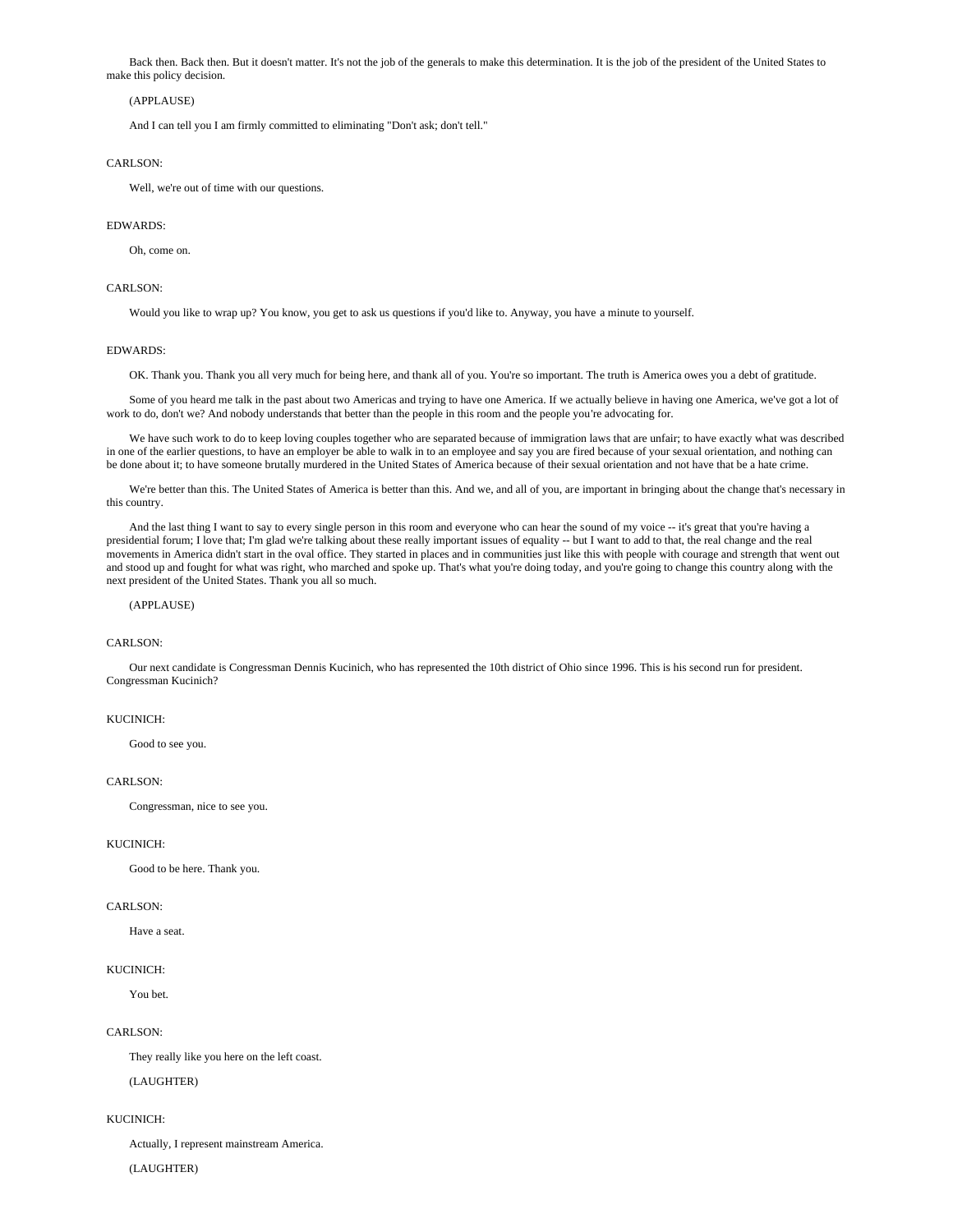Back then. Back then. But it doesn't matter. It's not the job of the generals to make this determination. It is the job of the president of the United States to make this policy decision.

# (APPLAUSE)

And I can tell you I am firmly committed to eliminating "Don't ask; don't tell."

### CARLSON<sup>.</sup>

Well, we're out of time with our questions.

#### EDWARDS:

Oh, come on.

# CARLSON:

Would you like to wrap up? You know, you get to ask us questions if you'd like to. Anyway, you have a minute to yourself.

# EDWARDS:

OK. Thank you. Thank you all very much for being here, and thank all of you. You're so important. The truth is America owes you a debt of gratitude.

 Some of you heard me talk in the past about two Americas and trying to have one America. If we actually believe in having one America, we've got a lot of work to do, don't we? And nobody understands that better than the people in this room and the people you're advocating for.

 We have such work to do to keep loving couples together who are separated because of immigration laws that are unfair; to have exactly what was described in one of the earlier questions, to have an employer be able to walk in to an employee and say you are fired because of your sexual orientation, and nothing can be done about it; to have someone brutally murdered in the United States of America because of their sexual orientation and not have that be a hate crime.

We're better than this. The United States of America is better than this. And we, and all of you, are important in bringing about the change that's necessary in this country.

 And the last thing I want to say to every single person in this room and everyone who can hear the sound of my voice -- it's great that you're having a presidential forum; I love that; I'm glad we're talking about these really important issues of equality -- but I want to add to that, the real change and the real movements in America didn't start in the oval office. They started in places and in communities just like this with people with courage and strength that went out and stood up and fought for what was right, who marched and spoke up. That's what you're doing today, and you're going to change this country along with the next president of the United States. Thank you all so much.

# (APPLAUSE)

# CARLSON:

 Our next candidate is Congressman Dennis Kucinich, who has represented the 10th district of Ohio since 1996. This is his second run for president. Congressman Kucinich?

### KUCINICH:

Good to see you.

### CARLSON:

Congressman, nice to see you.

## KUCINICH:

Good to be here. Thank you.

### CARLSON:

Have a seat.

### KUCINICH:

You bet.

### CARLSON:

They really like you here on the left coast.

(LAUGHTER)

### KUCINICH:

Actually, I represent mainstream America.

### (LAUGHTER)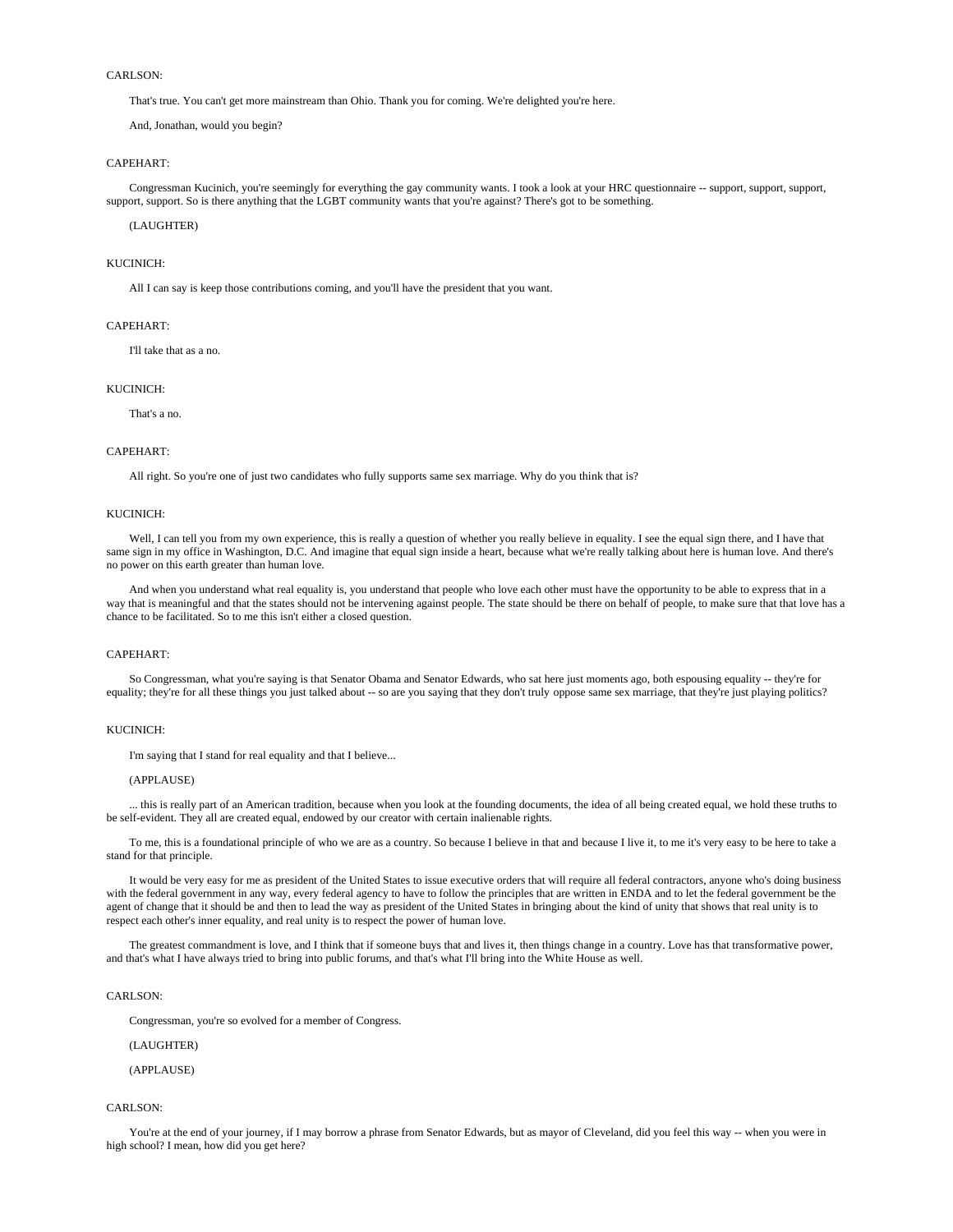That's true. You can't get more mainstream than Ohio. Thank you for coming. We're delighted you're here.

And, Jonathan, would you begin?

### CAPEHART:

 Congressman Kucinich, you're seemingly for everything the gay community wants. I took a look at your HRC questionnaire -- support, support, support, support, support. So is there anything that the LGBT community wants that you're against? There's got to be something.

(LAUGHTER)

### KUCINICH:

All I can say is keep those contributions coming, and you'll have the president that you want.

# CAPEHART:

I'll take that as a no.

#### KUCINICH:

That's a no.

### CAPEHART:

All right. So you're one of just two candidates who fully supports same sex marriage. Why do you think that is?

#### KUCINICH:

Well, I can tell you from my own experience, this is really a question of whether you really believe in equality. I see the equal sign there, and I have that same sign in my office in Washington, D.C. And imagine that equal sign inside a heart, because what we're really talking about here is human love. And there's no power on this earth greater than human love.

 And when you understand what real equality is, you understand that people who love each other must have the opportunity to be able to express that in a way that is meaningful and that the states should not be intervening against people. The state should be there on behalf of people, to make sure that that love has a chance to be facilitated. So to me this isn't either a closed question.

### CAPEHART:

 So Congressman, what you're saying is that Senator Obama and Senator Edwards, who sat here just moments ago, both espousing equality -- they're for equality; they're for all these things you just talked about -- so are you saying that they don't truly oppose same sex marriage, that they're just playing politics?

### KUCINICH:

I'm saying that I stand for real equality and that I believe...

### (APPLAUSE)

 ... this is really part of an American tradition, because when you look at the founding documents, the idea of all being created equal, we hold these truths to be self-evident. They all are created equal, endowed by our creator with certain inalienable rights.

 To me, this is a foundational principle of who we are as a country. So because I believe in that and because I live it, to me it's very easy to be here to take a stand for that principle.

 It would be very easy for me as president of the United States to issue executive orders that will require all federal contractors, anyone who's doing business with the federal government in any way, every federal agency to have to follow the principles that are written in ENDA and to let the federal government be the agent of change that it should be and then to lead the way as president of the United States in bringing about the kind of unity that shows that real unity is to respect each other's inner equality, and real unity is to respect the power of human love.

 The greatest commandment is love, and I think that if someone buys that and lives it, then things change in a country. Love has that transformative power, and that's what I have always tried to bring into public forums, and that's what I'll bring into the White House as well.

### CARLSON<sup>.</sup>

Congressman, you're so evolved for a member of Congress.

### (LAUGHTER)

### (APPLAUSE)

### CARLSON<sup>.</sup>

 You're at the end of your journey, if I may borrow a phrase from Senator Edwards, but as mayor of Cleveland, did you feel this way -- when you were in high school? I mean, how did you get here?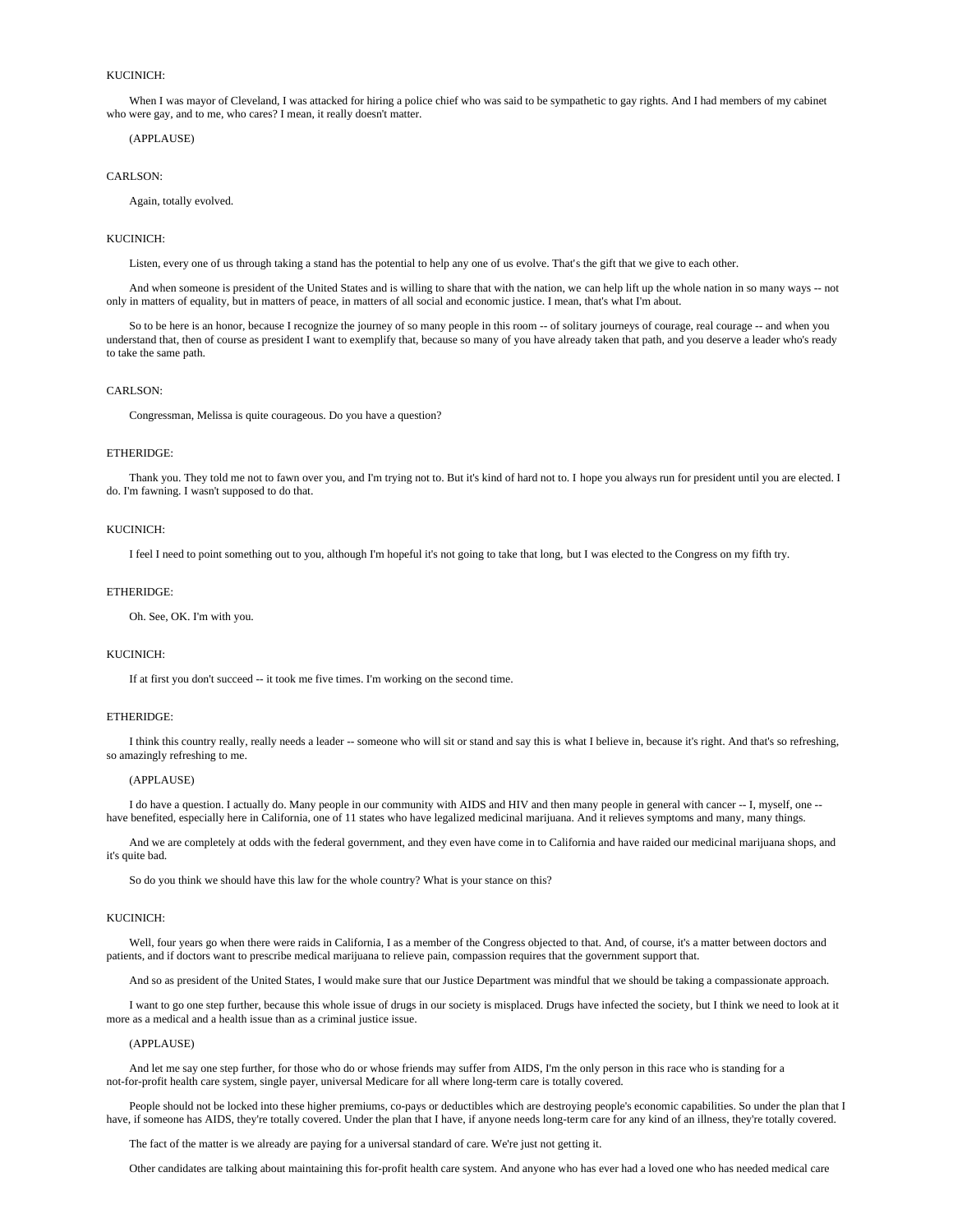# KUCINICH:

 When I was mayor of Cleveland, I was attacked for hiring a police chief who was said to be sympathetic to gay rights. And I had members of my cabinet who were gay, and to me, who cares? I mean, it really doesn't matter.

### (APPLAUSE)

#### CARLSON:

Again, totally evolved.

### KUCINICH:

Listen, every one of us through taking a stand has the potential to help any one of us evolve. That's the gift that we give to each other.

 And when someone is president of the United States and is willing to share that with the nation, we can help lift up the whole nation in so many ways -- not only in matters of equality, but in matters of peace, in matters of all social and economic justice. I mean, that's what I'm about.

So to be here is an honor, because I recognize the journey of so many people in this room -- of solitary journeys of courage, real courage -- and when you understand that, then of course as president I want to exemplify that, because so many of you have already taken that path, and you deserve a leader who's ready to take the same path.

#### CARLSON:

Congressman, Melissa is quite courageous. Do you have a question?

# ETHERIDGE:

 Thank you. They told me not to fawn over you, and I'm trying not to. But it's kind of hard not to. I hope you always run for president until you are elected. I do. I'm fawning. I wasn't supposed to do that.

### KUCINICH:

I feel I need to point something out to you, although I'm hopeful it's not going to take that long, but I was elected to the Congress on my fifth try.

#### ETHERIDGE:

Oh. See, OK. I'm with you.

## KUCINICH:

If at first you don't succeed -- it took me five times. I'm working on the second time.

#### ETHERIDGE:

 I think this country really, really needs a leader -- someone who will sit or stand and say this is what I believe in, because it's right. And that's so refreshing, so amazingly refreshing to me.

### (APPLAUSE)

 I do have a question. I actually do. Many people in our community with AIDS and HIV and then many people in general with cancer -- I, myself, one - have benefited, especially here in California, one of 11 states who have legalized medicinal marijuana. And it relieves symptoms and many, many things.

 And we are completely at odds with the federal government, and they even have come in to California and have raided our medicinal marijuana shops, and it's quite bad.

So do you think we should have this law for the whole country? What is your stance on this?

#### KUCINICH:

 Well, four years go when there were raids in California, I as a member of the Congress objected to that. And, of course, it's a matter between doctors and patients, and if doctors want to prescribe medical marijuana to relieve pain, compassion requires that the government support that.

And so as president of the United States, I would make sure that our Justice Department was mindful that we should be taking a compassionate approach.

 I want to go one step further, because this whole issue of drugs in our society is misplaced. Drugs have infected the society, but I think we need to look at it more as a medical and a health issue than as a criminal justice issue.

### (APPLAUSE)

 And let me say one step further, for those who do or whose friends may suffer from AIDS, I'm the only person in this race who is standing for a not-for-profit health care system, single payer, universal Medicare for all where long-term care is totally covered.

People should not be locked into these higher premiums, co-pays or deductibles which are destroying people's economic capabilities. So under the plan that I have, if someone has AIDS, they're totally covered. Under the plan that I have, if anyone needs long-term care for any kind of an illness, they're totally covered.

The fact of the matter is we already are paying for a universal standard of care. We're just not getting it.

Other candidates are talking about maintaining this for-profit health care system. And anyone who has ever had a loved one who has needed medical care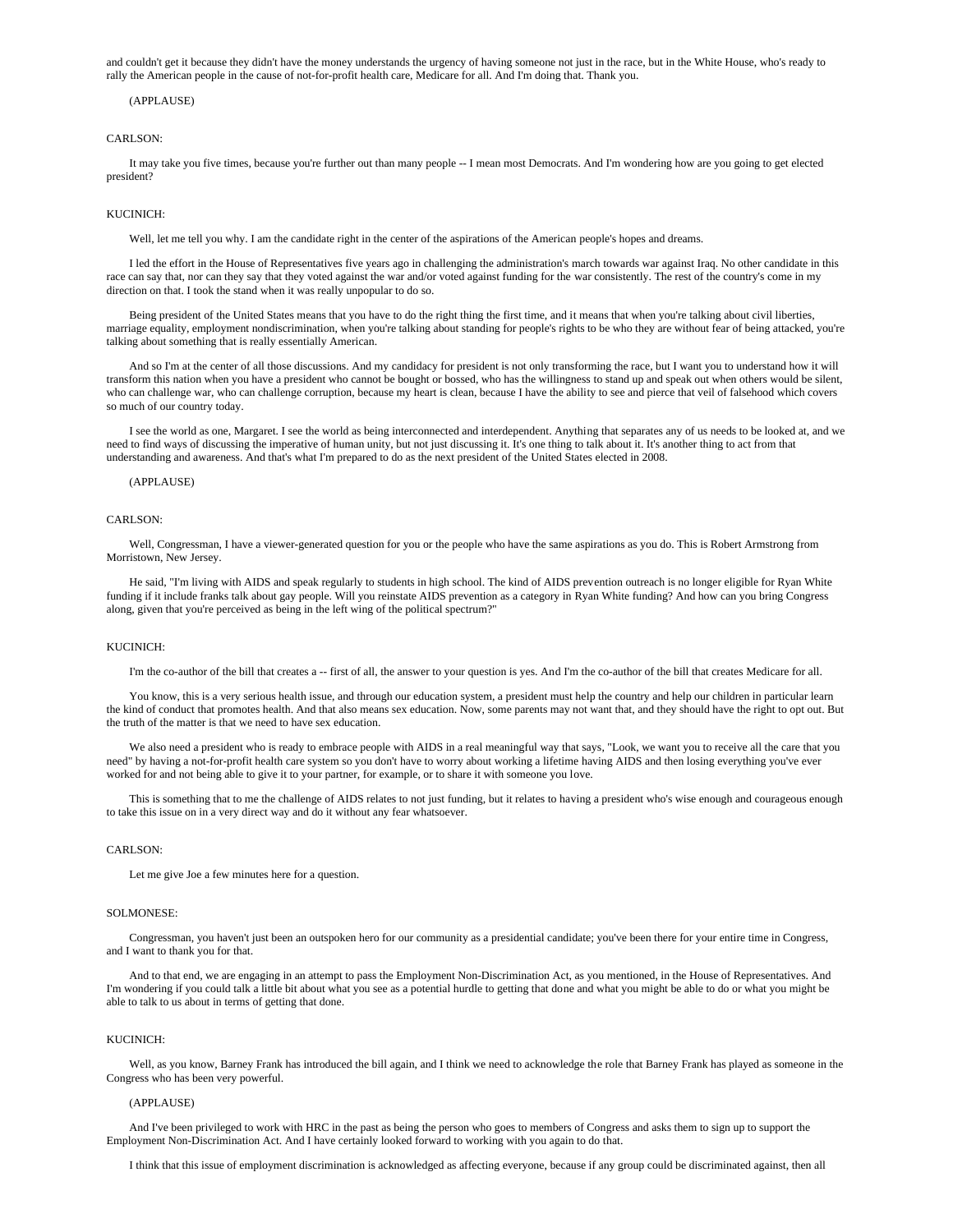and couldn't get it because they didn't have the money understands the urgency of having someone not just in the race, but in the White House, who's ready to rally the American people in the cause of not-for-profit health care, Medicare for all. And I'm doing that. Thank you.

# (APPLAUSE)

#### CARLSON<sup>.</sup>

 It may take you five times, because you're further out than many people -- I mean most Democrats. And I'm wondering how are you going to get elected president?

#### KUCINICH:

Well, let me tell you why. I am the candidate right in the center of the aspirations of the American people's hopes and dreams.

 I led the effort in the House of Representatives five years ago in challenging the administration's march towards war against Iraq. No other candidate in this race can say that, nor can they say that they voted against the war and/or voted against funding for the war consistently. The rest of the country's come in my direction on that. I took the stand when it was really unpopular to do so.

 Being president of the United States means that you have to do the right thing the first time, and it means that when you're talking about civil liberties, marriage equality, employment nondiscrimination, when you're talking about standing for people's rights to be who they are without fear of being attacked, you're talking about something that is really essentially American.

And so I'm at the center of all those discussions. And my candidacy for president is not only transforming the race, but I want you to understand how it will transform this nation when you have a president who cannot be bought or bossed, who has the willingness to stand up and speak out when others would be silent, who can challenge war, who can challenge corruption, because my heart is clean, because I have the ability to see and pierce that veil of falsehood which covers so much of our country today.

 I see the world as one, Margaret. I see the world as being interconnected and interdependent. Anything that separates any of us needs to be looked at, and we need to find ways of discussing the imperative of human unity, but not just discussing it. It's one thing to talk about it. It's another thing to act from that understanding and awareness. And that's what I'm prepared to do as the next president of the United States elected in 2008.

### (APPLAUSE)

### CARLSON<sup>.</sup>

 Well, Congressman, I have a viewer-generated question for you or the people who have the same aspirations as you do. This is Robert Armstrong from Morristown, New Jersey.

 He said, "I'm living with AIDS and speak regularly to students in high school. The kind of AIDS prevention outreach is no longer eligible for Ryan White funding if it include franks talk about gay people. Will you reinstate AIDS prevention as a category in Ryan White funding? And how can you bring Congress along, given that you're perceived as being in the left wing of the political spectrum?"

#### KUCINICH:

I'm the co-author of the bill that creates a -- first of all, the answer to your question is yes. And I'm the co-author of the bill that creates Medicare for all.

 You know, this is a very serious health issue, and through our education system, a president must help the country and help our children in particular learn the kind of conduct that promotes health. And that also means sex education. Now, some parents may not want that, and they should have the right to opt out. But the truth of the matter is that we need to have sex education.

We also need a president who is ready to embrace people with AIDS in a real meaningful way that says, "Look, we want you to receive all the care that you need" by having a not-for-profit health care system so you don't have to worry about working a lifetime having AIDS and then losing everything you've ever worked for and not being able to give it to your partner, for example, or to share it with someone you love.

 This is something that to me the challenge of AIDS relates to not just funding, but it relates to having a president who's wise enough and courageous enough to take this issue on in a very direct way and do it without any fear whatsoever.

#### CARLSON:

Let me give Joe a few minutes here for a question.

### SOLMONESE:

 Congressman, you haven't just been an outspoken hero for our community as a presidential candidate; you've been there for your entire time in Congress, and I want to thank you for that.

 And to that end, we are engaging in an attempt to pass the Employment Non-Discrimination Act, as you mentioned, in the House of Representatives. And I'm wondering if you could talk a little bit about what you see as a potential hurdle to getting that done and what you might be able to do or what you might be able to talk to us about in terms of getting that done.

### KUCINICH:

 Well, as you know, Barney Frank has introduced the bill again, and I think we need to acknowledge the role that Barney Frank has played as someone in the Congress who has been very powerful.

### (APPLAUSE)

 And I've been privileged to work with HRC in the past as being the person who goes to members of Congress and asks them to sign up to support the Employment Non-Discrimination Act. And I have certainly looked forward to working with you again to do that.

I think that this issue of employment discrimination is acknowledged as affecting everyone, because if any group could be discriminated against, then all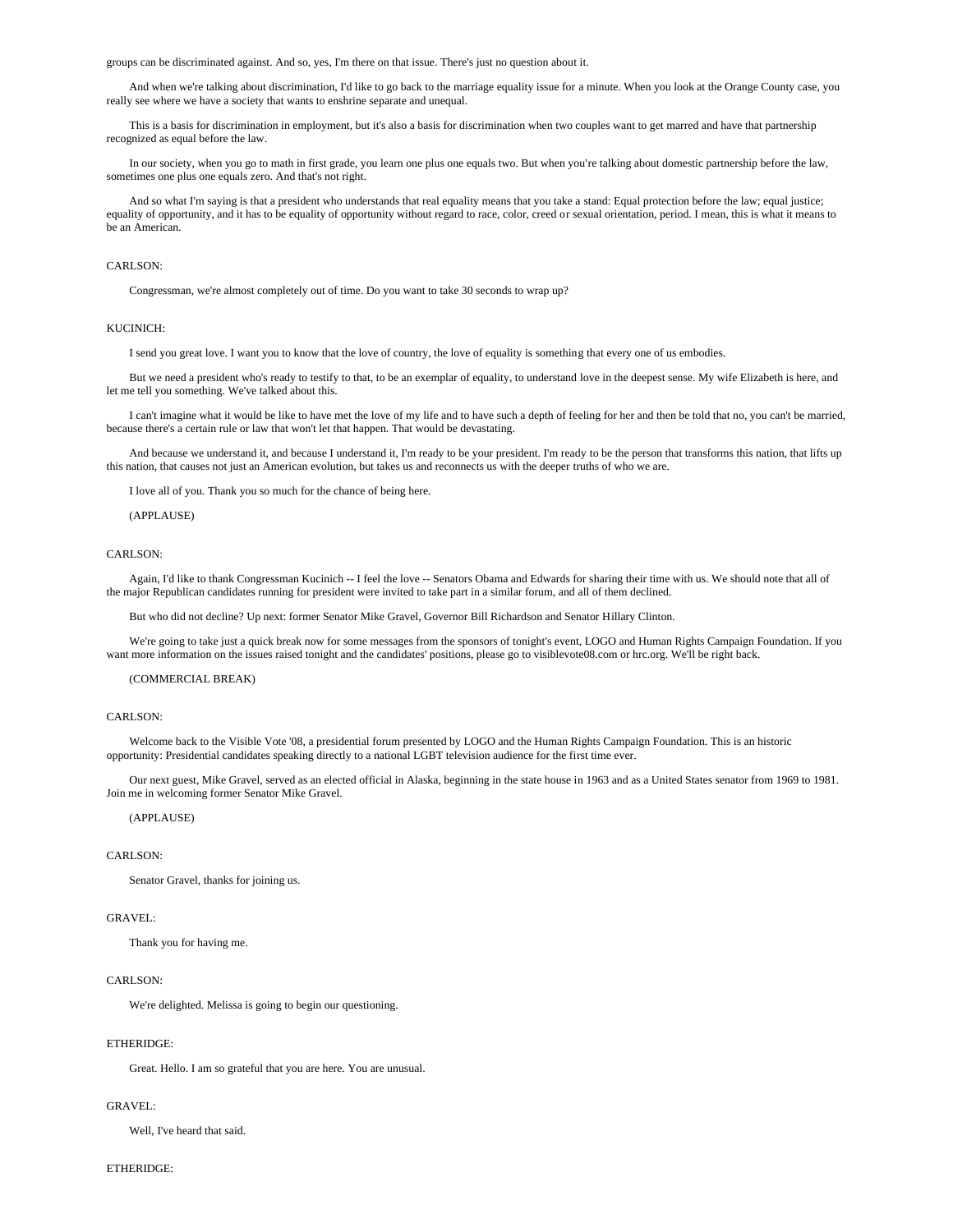groups can be discriminated against. And so, yes, I'm there on that issue. There's just no question about it.

 And when we're talking about discrimination, I'd like to go back to the marriage equality issue for a minute. When you look at the Orange County case, you really see where we have a society that wants to enshrine separate and unequal.

 This is a basis for discrimination in employment, but it's also a basis for discrimination when two couples want to get marred and have that partnership recognized as equal before the law.

 In our society, when you go to math in first grade, you learn one plus one equals two. But when you're talking about domestic partnership before the law, sometimes one plus one equals zero. And that's not right.

And so what I'm saying is that a president who understands that real equality means that you take a stand: Equal protection before the law; equal justice; equality of opportunity, and it has to be equality of opportunity without regard to race, color, creed or sexual orientation, period. I mean, this is what it means to be an American.

### CARLSON<sup>.</sup>

Congressman, we're almost completely out of time. Do you want to take 30 seconds to wrap up?

#### KUCINICH:

I send you great love. I want you to know that the love of country, the love of equality is something that every one of us embodies.

 But we need a president who's ready to testify to that, to be an exemplar of equality, to understand love in the deepest sense. My wife Elizabeth is here, and let me tell you something. We've talked about this.

 I can't imagine what it would be like to have met the love of my life and to have such a depth of feeling for her and then be told that no, you can't be married, because there's a certain rule or law that won't let that happen. That would be devastating.

 And because we understand it, and because I understand it, I'm ready to be your president. I'm ready to be the person that transforms this nation, that lifts up this nation, that causes not just an American evolution, but takes us and reconnects us with the deeper truths of who we are.

I love all of you. Thank you so much for the chance of being here.

### (APPLAUSE)

### CARLSON<sup>.</sup>

Again, I'd like to thank Congressman Kucinich -- I feel the love -- Senators Obama and Edwards for sharing their time with us. We should note that all of the major Republican candidates running for president were invited to take part in a similar forum, and all of them declined.

But who did not decline? Up next: former Senator Mike Gravel, Governor Bill Richardson and Senator Hillary Clinton.

 We're going to take just a quick break now for some messages from the sponsors of tonight's event, LOGO and Human Rights Campaign Foundation. If you want more information on the issues raised tonight and the candidates' positions, please go to visiblevote08.com or hrc.org. We'll be right back.

# (COMMERCIAL BREAK)

### CARLSON<sup>.</sup>

 Welcome back to the Visible Vote '08, a presidential forum presented by LOGO and the Human Rights Campaign Foundation. This is an historic opportunity: Presidential candidates speaking directly to a national LGBT television audience for the first time ever.

 Our next guest, Mike Gravel, served as an elected official in Alaska, beginning in the state house in 1963 and as a United States senator from 1969 to 1981. Join me in welcoming former Senator Mike Gravel.

### (APPLAUSE)

# CARLSON:

Senator Gravel, thanks for joining us.

### GRAVEL:

Thank you for having me.

#### CARLSON<sup>.</sup>

We're delighted. Melissa is going to begin our questioning.

#### ETHERIDGE:

Great. Hello. I am so grateful that you are here. You are unusual.

### GRAVEL:

Well, I've heard that said.

### ETHERIDGE: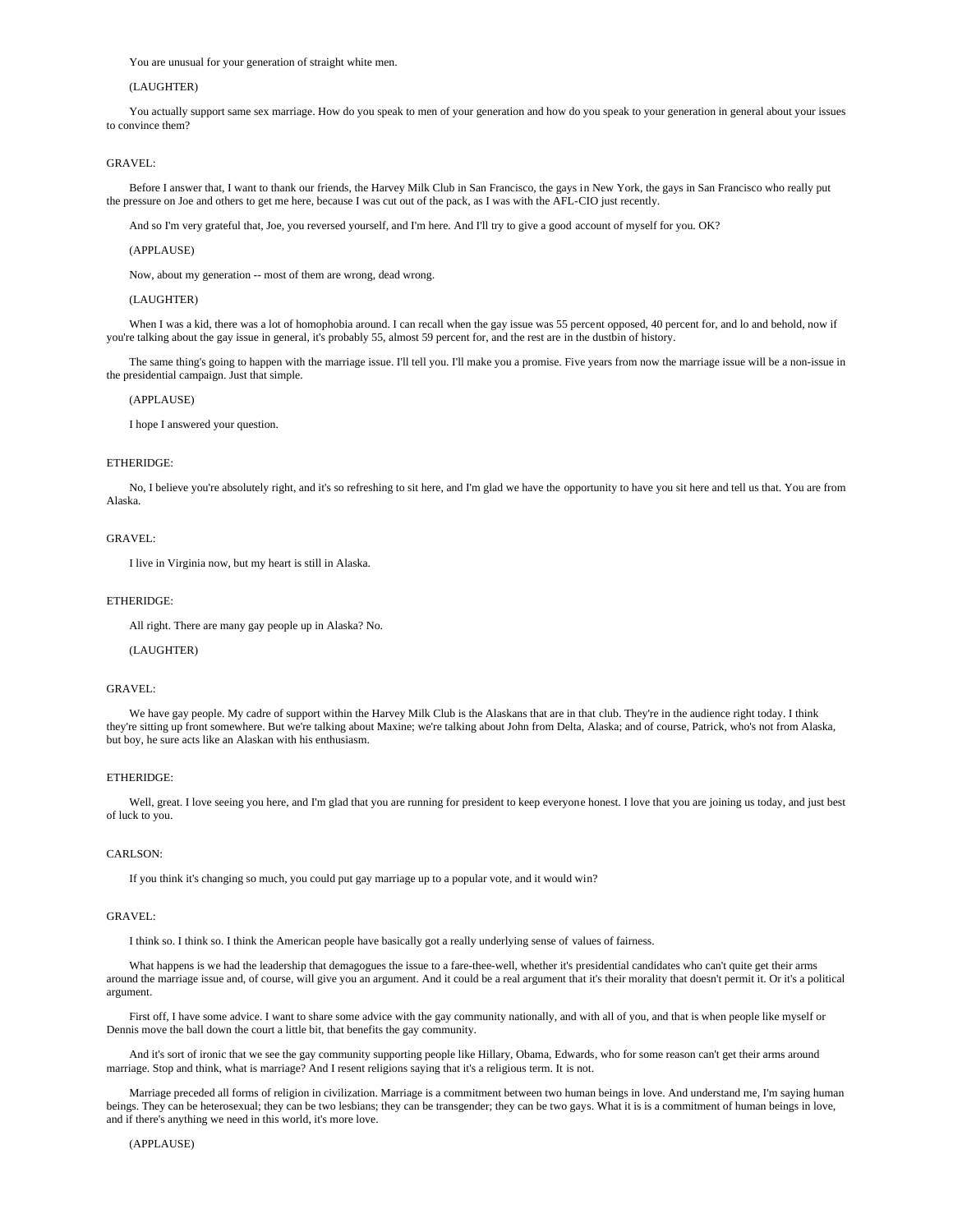You are unusual for your generation of straight white men.

# (LAUGHTER)

 You actually support same sex marriage. How do you speak to men of your generation and how do you speak to your generation in general about your issues to convince them?

# GRAVEL:

 Before I answer that, I want to thank our friends, the Harvey Milk Club in San Francisco, the gays in New York, the gays in San Francisco who really put the pressure on Joe and others to get me here, because I was cut out of the pack, as I was with the AFL-CIO just recently.

And so I'm very grateful that, Joe, you reversed yourself, and I'm here. And I'll try to give a good account of myself for you. OK?

### (APPLAUSE)

Now, about my generation -- most of them are wrong, dead wrong.

### (LAUGHTER)

When I was a kid, there was a lot of homophobia around. I can recall when the gay issue was 55 percent opposed, 40 percent for, and lo and behold, now if you're talking about the gay issue in general, it's probably 55, almost 59 percent for, and the rest are in the dustbin of history.

 The same thing's going to happen with the marriage issue. I'll tell you. I'll make you a promise. Five years from now the marriage issue will be a non-issue in the presidential campaign. Just that simple.

# (APPLAUSE)

I hope I answered your question.

### ETHERIDGE:

 No, I believe you're absolutely right, and it's so refreshing to sit here, and I'm glad we have the opportunity to have you sit here and tell us that. You are from Alaska.

# GRAVEL:

I live in Virginia now, but my heart is still in Alaska.

### ETHERIDGE:

All right. There are many gay people up in Alaska? No.

## (LAUGHTER)

#### GRAVEL:

 We have gay people. My cadre of support within the Harvey Milk Club is the Alaskans that are in that club. They're in the audience right today. I think they're sitting up front somewhere. But we're talking about Maxine; we're talking about John from Delta, Alaska; and of course, Patrick, who's not from Alaska, but boy, he sure acts like an Alaskan with his enthusiasm.

# ETHERIDGE:

Well, great. I love seeing you here, and I'm glad that you are running for president to keep everyone honest. I love that you are joining us today, and just best of luck to you.

### CARLSON<sup>.</sup>

If you think it's changing so much, you could put gay marriage up to a popular vote, and it would win?

### GRAVEL:

I think so. I think so. I think the American people have basically got a really underlying sense of values of fairness.

 What happens is we had the leadership that demagogues the issue to a fare-thee-well, whether it's presidential candidates who can't quite get their arms around the marriage issue and, of course, will give you an argument. And it could be a real argument that it's their morality that doesn't permit it. Or it's a political argument.

 First off, I have some advice. I want to share some advice with the gay community nationally, and with all of you, and that is when people like myself or Dennis move the ball down the court a little bit, that benefits the gay community.

 And it's sort of ironic that we see the gay community supporting people like Hillary, Obama, Edwards, who for some reason can't get their arms around marriage. Stop and think, what is marriage? And I resent religions saying that it's a religious term. It is not.

 Marriage preceded all forms of religion in civilization. Marriage is a commitment between two human beings in love. And understand me, I'm saying human beings. They can be heterosexual; they can be two lesbians; they can be transgender; they can be two gays. What it is is a commitment of human beings in love, and if there's anything we need in this world, it's more love.

# (APPLAUSE)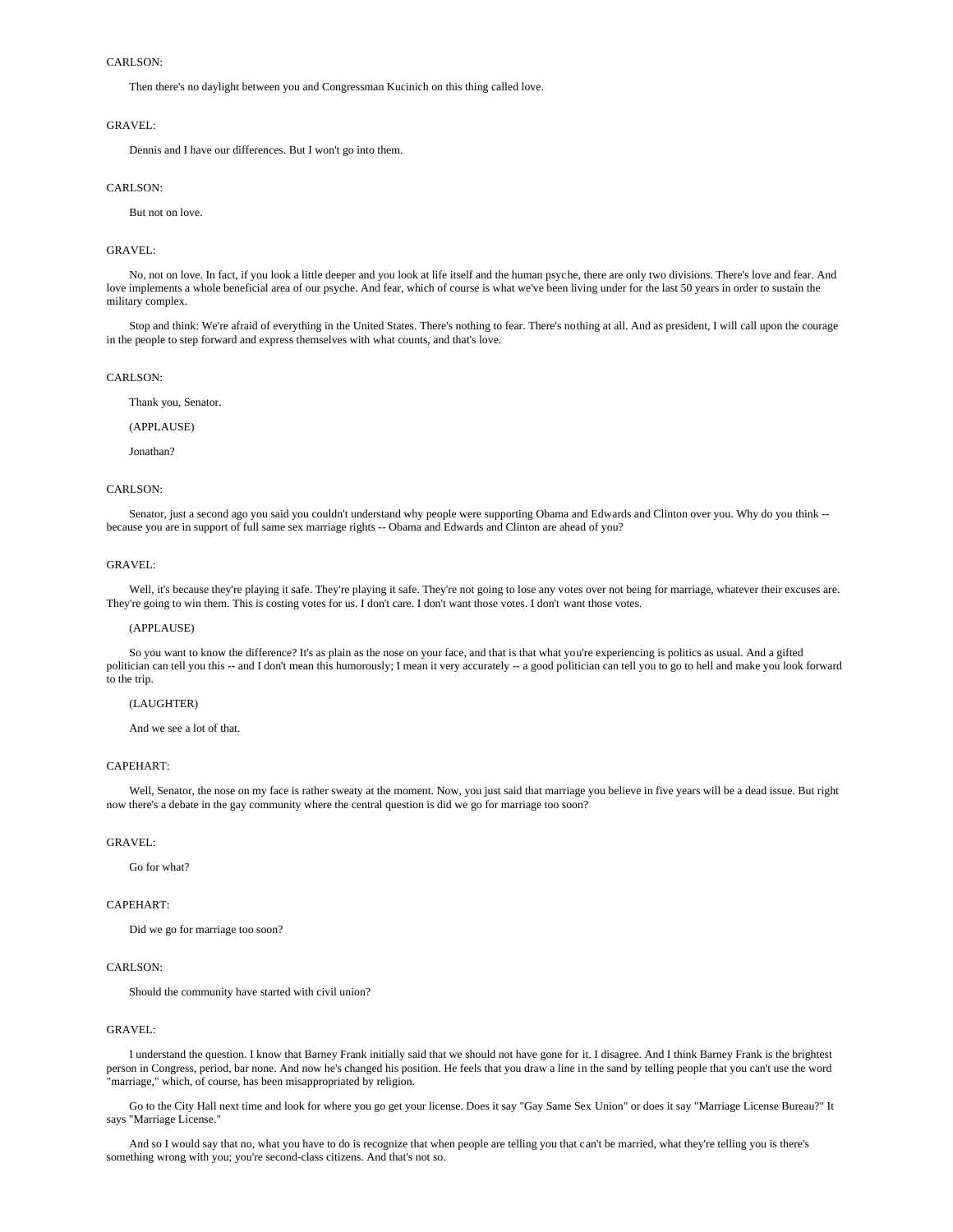Then there's no daylight between you and Congressman Kucinich on this thing called love.

### GRAVEL:

Dennis and I have our differences. But I won't go into them.

# CARLSON-

But not on love.

### GRAVEL:

 No, not on love. In fact, if you look a little deeper and you look at life itself and the human psyche, there are only two divisions. There's love and fear. And love implements a whole beneficial area of our psyche. And fear, which of course is what we've been living under for the last 50 years in order to sustain the military complex.

Stop and think: We're afraid of everything in the United States. There's nothing to fear. There's nothing at all. And as president, I will call upon the courage in the people to step forward and express themselves with what counts, and that's love.

#### CARLSON:

Thank you, Senator.

### (APPLAUSE)

Jonathan?

### CARLSON:

 Senator, just a second ago you said you couldn't understand why people were supporting Obama and Edwards and Clinton over you. Why do you think - because you are in support of full same sex marriage rights -- Obama and Edwards and Clinton are ahead of you?

### GRAVEL:

Well, it's because they're playing it safe. They're playing it safe. They're not going to lose any votes over not being for marriage, whatever their excuses are. They're going to win them. This is costing votes for us. I don't care. I don't want those votes. I don't want those votes.

#### (APPLAUSE)

 So you want to know the difference? It's as plain as the nose on your face, and that is that what you're experiencing is politics as usual. And a gifted politician can tell you this -- and I don't mean this humorously; I mean it very accurately -- a good politician can tell you to go to hell and make you look forward to the trip.

### (LAUGHTER)

And we see a lot of that.

# CAPEHART:

 Well, Senator, the nose on my face is rather sweaty at the moment. Now, you just said that marriage you believe in five years will be a dead issue. But right now there's a debate in the gay community where the central question is did we go for marriage too soon?

#### GRAVEL:

Go for what?

## CAPEHART:

Did we go for marriage too soon?

#### CARLSON:

Should the community have started with civil union?

# GRAVEL:

 I understand the question. I know that Barney Frank initially said that we should not have gone for it. I disagree. And I think Barney Frank is the brightest person in Congress, period, bar none. And now he's changed his position. He feels that you draw a line in the sand by telling people that you can't use the word "marriage," which, of course, has been misappropriated by religion.

 Go to the City Hall next time and look for where you go get your license. Does it say "Gay Same Sex Union" or does it say "Marriage License Bureau?" It says "Marriage License."

 And so I would say that no, what you have to do is recognize that when people are telling you that can't be married, what they're telling you is there's something wrong with you; you're second-class citizens. And that's not so.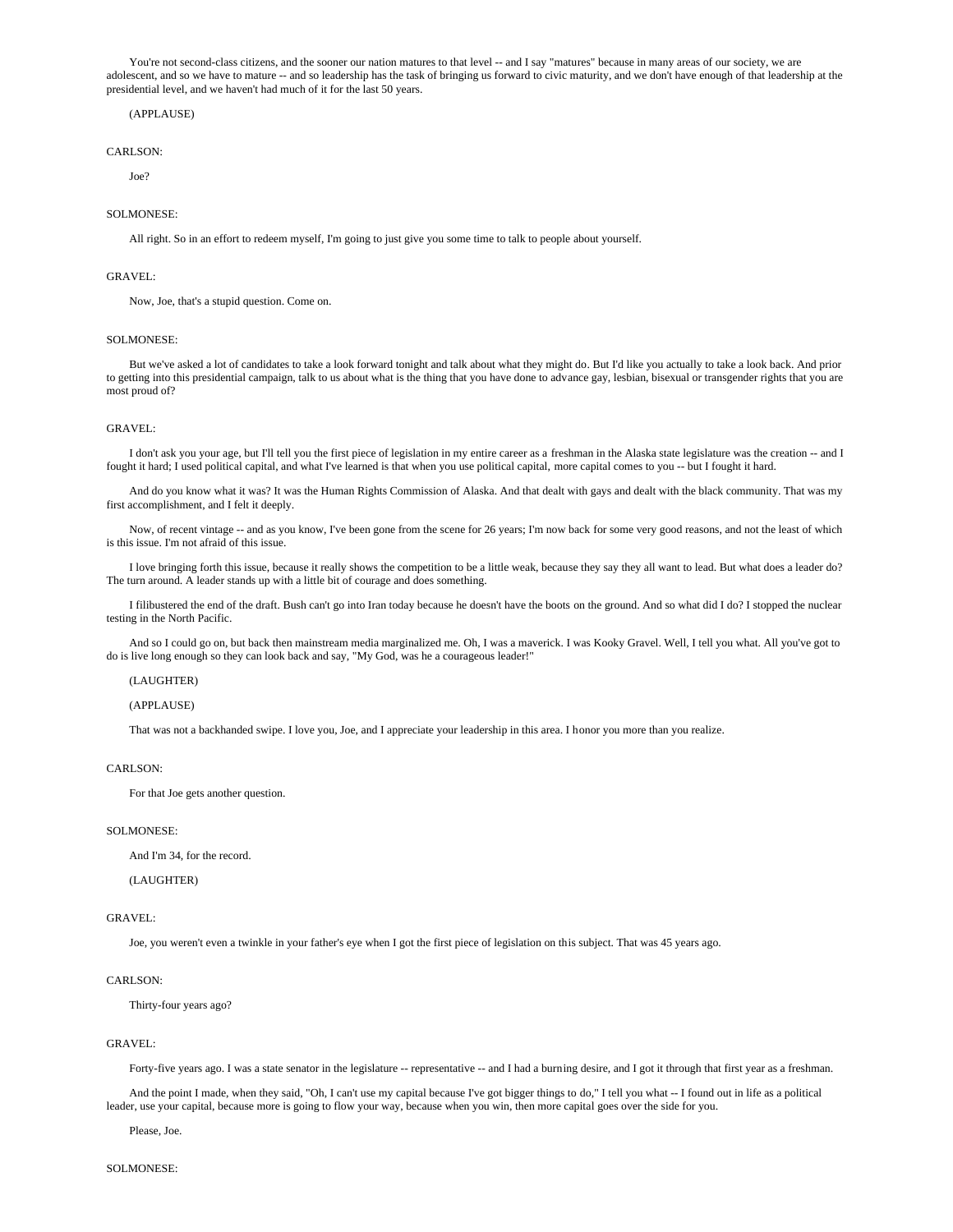You're not second-class citizens, and the sooner our nation matures to that level -- and I say "matures" because in many areas of our society, we are adolescent, and so we have to mature -- and so leadership has the task of bringing us forward to civic maturity, and we don't have enough of that leadership at the presidential level, and we haven't had much of it for the last 50 years.

# (APPLAUSE)

### CARLSON:

Joe?

### SOLMONESE:

All right. So in an effort to redeem myself, I'm going to just give you some time to talk to people about yourself.

### GRAVEL:

Now, Joe, that's a stupid question. Come on.

### SOLMONESE:

 But we've asked a lot of candidates to take a look forward tonight and talk about what they might do. But I'd like you actually to take a look back. And prior to getting into this presidential campaign, talk to us about what is the thing that you have done to advance gay, lesbian, bisexual or transgender rights that you are most proud of?

### GRAVEL:

 I don't ask you your age, but I'll tell you the first piece of legislation in my entire career as a freshman in the Alaska state legislature was the creation -- and I fought it hard; I used political capital, and what I've learned is that when you use political capital, more capital comes to you -- but I fought it hard.

 And do you know what it was? It was the Human Rights Commission of Alaska. And that dealt with gays and dealt with the black community. That was my first accomplishment, and I felt it deeply.

Now, of recent vintage -- and as you know, I've been gone from the scene for 26 years; I'm now back for some very good reasons, and not the least of which is this issue. I'm not afraid of this issue.

 I love bringing forth this issue, because it really shows the competition to be a little weak, because they say they all want to lead. But what does a leader do? The turn around. A leader stands up with a little bit of courage and does something.

 I filibustered the end of the draft. Bush can't go into Iran today because he doesn't have the boots on the ground. And so what did I do? I stopped the nuclear testing in the North Pacific.

 And so I could go on, but back then mainstream media marginalized me. Oh, I was a maverick. I was Kooky Gravel. Well, I tell you what. All you've got to do is live long enough so they can look back and say, "My God, was he a courageous leader!"

### (LAUGHTER)

### (APPLAUSE)

That was not a backhanded swipe. I love you, Joe, and I appreciate your leadership in this area. I honor you more than you realize.

# CARLSON:

For that Joe gets another question.

### SOLMONESE:

And I'm 34, for the record.

(LAUGHTER)

# GRAVEL:

Joe, you weren't even a twinkle in your father's eye when I got the first piece of legislation on this subject. That was 45 years ago.

#### CARLSON:

Thirty-four years ago?

### GRAVEL:

Forty-five years ago. I was a state senator in the legislature -- representative -- and I had a burning desire, and I got it through that first year as a freshman.

 And the point I made, when they said, "Oh, I can't use my capital because I've got bigger things to do," I tell you what -- I found out in life as a political leader, use your capital, because more is going to flow your way, because when you win, then more capital goes over the side for you.

Please, Joe.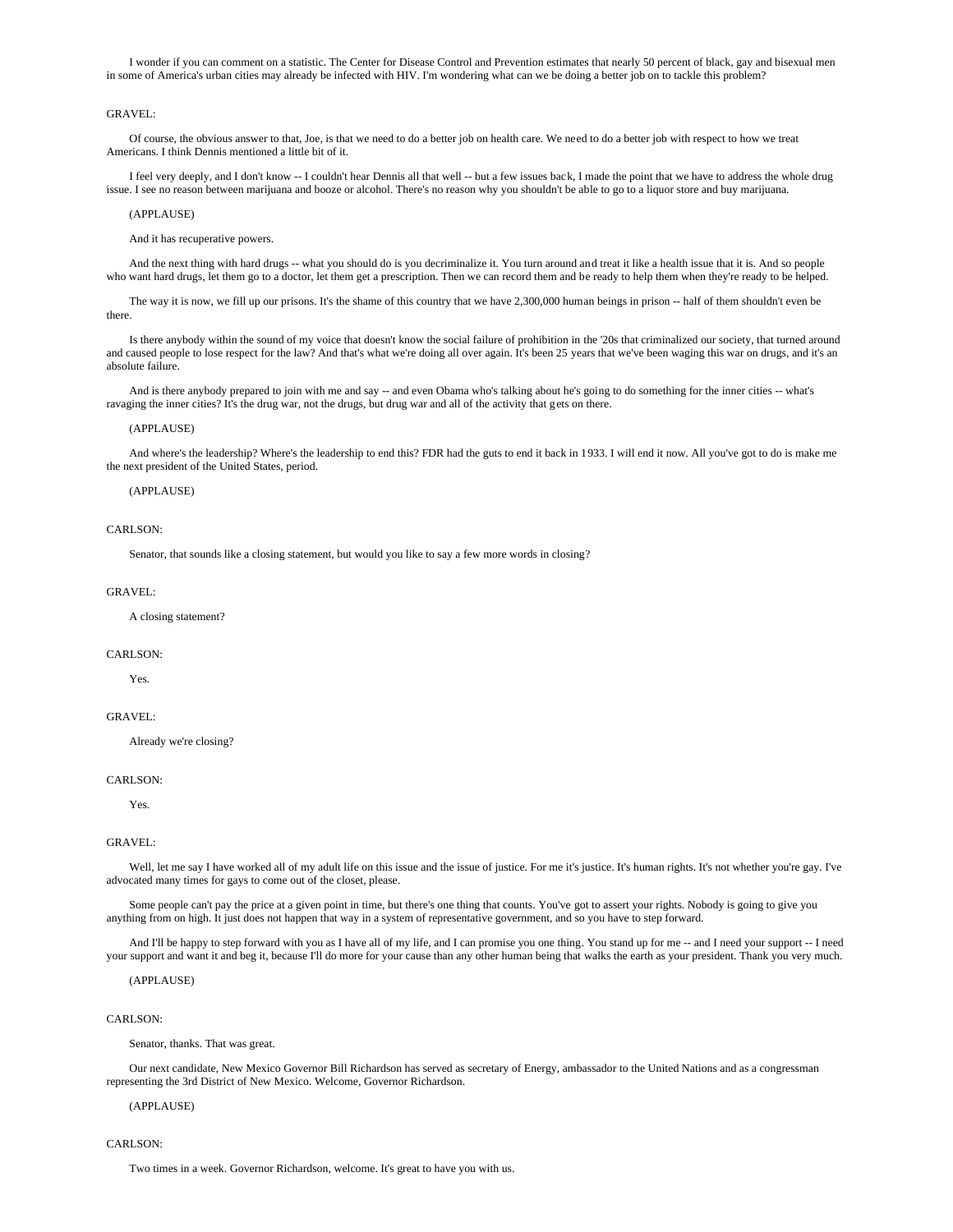I wonder if you can comment on a statistic. The Center for Disease Control and Prevention estimates that nearly 50 percent of black, gay and bisexual men in some of America's urban cities may already be infected with HIV. I'm wondering what can we be doing a better job on to tackle this problem?

# GRAVEL:

 Of course, the obvious answer to that, Joe, is that we need to do a better job on health care. We need to do a better job with respect to how we treat Americans. I think Dennis mentioned a little bit of it.

 I feel very deeply, and I don't know -- I couldn't hear Dennis all that well -- but a few issues back, I made the point that we have to address the whole drug issue. I see no reason between marijuana and booze or alcohol. There's no reason why you shouldn't be able to go to a liquor store and buy marijuana.

#### (APPLAUSE)

And it has recuperative powers.

And the next thing with hard drugs -- what you should do is you decriminalize it. You turn around and treat it like a health issue that it is. And so people who want hard drugs, let them go to a doctor, let them get a prescription. Then we can record them and be ready to help them when they're ready to be helped.

 The way it is now, we fill up our prisons. It's the shame of this country that we have 2,300,000 human beings in prison -- half of them shouldn't even be there.

 Is there anybody within the sound of my voice that doesn't know the social failure of prohibition in the '20s that criminalized our society, that turned around and caused people to lose respect for the law? And that's what we're doing all over again. It's been 25 years that we've been waging this war on drugs, and it's an absolute failure.

 And is there anybody prepared to join with me and say -- and even Obama who's talking about he's going to do something for the inner cities -- what's ravaging the inner cities? It's the drug war, not the drugs, but drug war and all of the activity that gets on there.

#### (APPLAUSE)

 And where's the leadership? Where's the leadership to end this? FDR had the guts to end it back in 1933. I will end it now. All you've got to do is make me the next president of the United States, period.

#### (APPLAUSE)

#### CARLSON:

Senator, that sounds like a closing statement, but would you like to say a few more words in closing?

#### GRAVEL:

A closing statement?

### CARLSON:

Yes.

# GRAVEL:

Already we're closing?

# CARLSON:

Yes.

# GRAVEL:

Well, let me say I have worked all of my adult life on this issue and the issue of justice. For me it's justice. It's human rights. It's not whether you're gay. I've advocated many times for gays to come out of the closet, please.

Some people can't pay the price at a given point in time, but there's one thing that counts. You've got to assert your rights. Nobody is going to give you anything from on high. It just does not happen that way in a system of representative government, and so you have to step forward.

And I'll be happy to step forward with you as I have all of my life, and I can promise you one thing. You stand up for me -- and I need your support -- I need your support and want it and beg it, because I'll do more for your cause than any other human being that walks the earth as your president. Thank you very much.

#### (APPLAUSE)

# CARLSON:

Senator, thanks. That was great.

 Our next candidate, New Mexico Governor Bill Richardson has served as secretary of Energy, ambassador to the United Nations and as a congressman representing the 3rd District of New Mexico. Welcome, Governor Richardson.

# (APPLAUSE)

CARLSON<sup>.</sup>

Two times in a week. Governor Richardson, welcome. It's great to have you with us.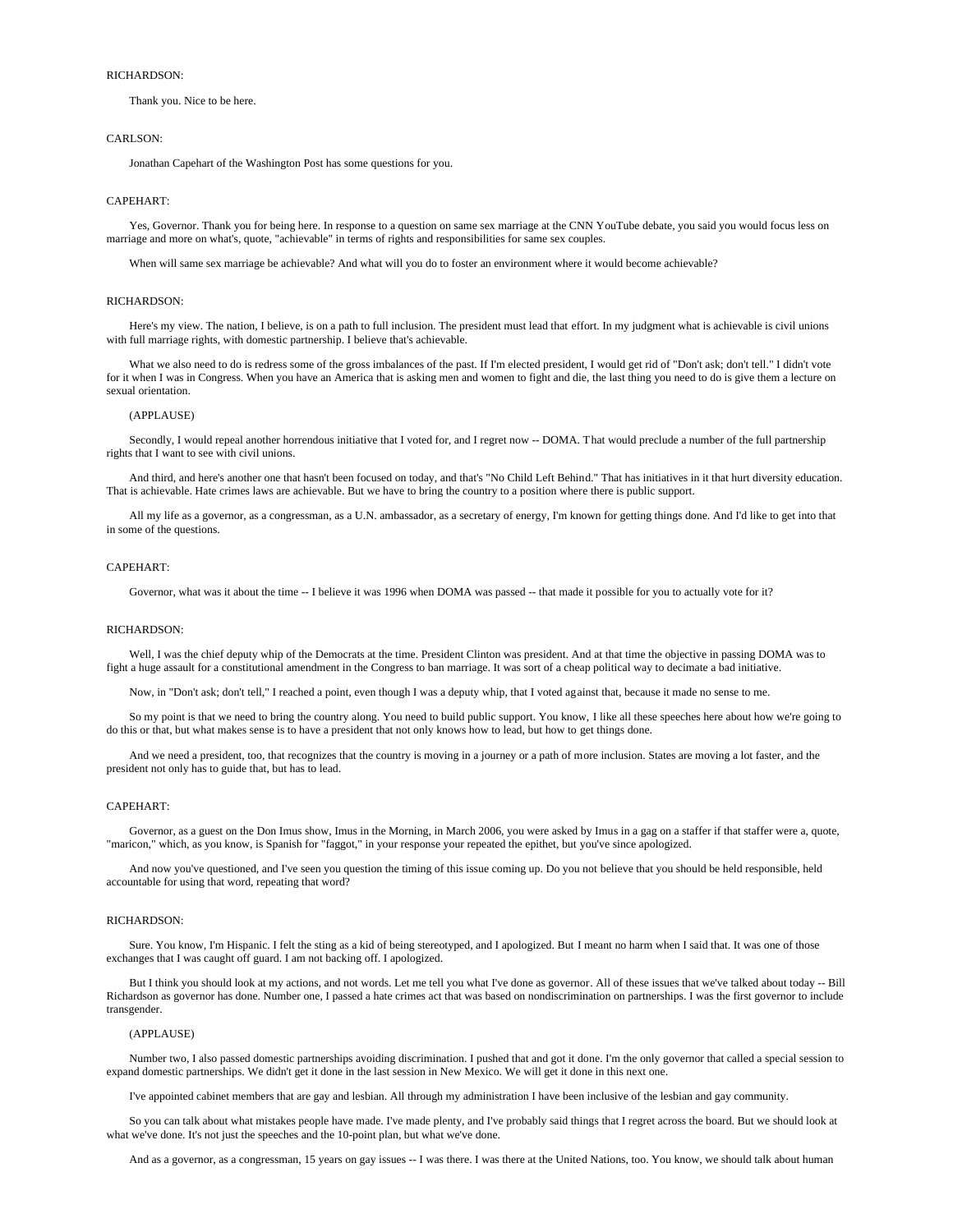# RICHARDSON:

Thank you. Nice to be here.

### CARLSON<sup>.</sup>

Jonathan Capehart of the Washington Post has some questions for you.

#### CAPEHART:

 Yes, Governor. Thank you for being here. In response to a question on same sex marriage at the CNN YouTube debate, you said you would focus less on marriage and more on what's, quote, "achievable" in terms of rights and responsibilities for same sex couples.

When will same sex marriage be achievable? And what will you do to foster an environment where it would become achievable?

#### RICHARDSON:

 Here's my view. The nation, I believe, is on a path to full inclusion. The president must lead that effort. In my judgment what is achievable is civil unions with full marriage rights, with domestic partnership. I believe that's achievable.

What we also need to do is redress some of the gross imbalances of the past. If I'm elected president, I would get rid of "Don't ask; don't tell." I didn't vote for it when I was in Congress. When you have an America that is asking men and women to fight and die, the last thing you need to do is give them a lecture on sexual orientation.

#### (APPLAUSE)

 Secondly, I would repeal another horrendous initiative that I voted for, and I regret now -- DOMA. That would preclude a number of the full partnership rights that I want to see with civil unions.

 And third, and here's another one that hasn't been focused on today, and that's "No Child Left Behind." That has initiatives in it that hurt diversity education. That is achievable. Hate crimes laws are achievable. But we have to bring the country to a position where there is public support.

 All my life as a governor, as a congressman, as a U.N. ambassador, as a secretary of energy, I'm known for getting things done. And I'd like to get into that in some of the questions.

#### CAPEHART:

Governor, what was it about the time -- I believe it was 1996 when DOMA was passed -- that made it possible for you to actually vote for it?

### RICHARDSON:

Well. I was the chief deputy whip of the Democrats at the time. President Clinton was president. And at that time the objective in passing DOMA was to fight a huge assault for a constitutional amendment in the Congress to ban marriage. It was sort of a cheap political way to decimate a bad initiative.

Now, in "Don't ask; don't tell," I reached a point, even though I was a deputy whip, that I voted against that, because it made no sense to me.

 So my point is that we need to bring the country along. You need to build public support. You know, I like all these speeches here about how we're going to do this or that, but what makes sense is to have a president that not only knows how to lead, but how to get things done.

 And we need a president, too, that recognizes that the country is moving in a journey or a path of more inclusion. States are moving a lot faster, and the president not only has to guide that, but has to lead.

## CAPEHART:

 Governor, as a guest on the Don Imus show, Imus in the Morning, in March 2006, you were asked by Imus in a gag on a staffer if that staffer were a, quote, "maricon," which, as you know, is Spanish for "faggot," in your response your repeated the epithet, but you've since apologized.

 And now you've questioned, and I've seen you question the timing of this issue coming up. Do you not believe that you should be held responsible, held accountable for using that word, repeating that word?

#### RICHARDSON:

 Sure. You know, I'm Hispanic. I felt the sting as a kid of being stereotyped, and I apologized. But I meant no harm when I said that. It was one of those exchanges that I was caught off guard. I am not backing off. I apologized.

 But I think you should look at my actions, and not words. Let me tell you what I've done as governor. All of these issues that we've talked about today -- Bill Richardson as governor has done. Number one, I passed a hate crimes act that was based on nondiscrimination on partnerships. I was the first governor to include transgender.

### (APPLAUSE)

 Number two, I also passed domestic partnerships avoiding discrimination. I pushed that and got it done. I'm the only governor that called a special session to expand domestic partnerships. We didn't get it done in the last session in New Mexico. We will get it done in this next one.

I've appointed cabinet members that are gay and lesbian. All through my administration I have been inclusive of the lesbian and gay community.

 So you can talk about what mistakes people have made. I've made plenty, and I've probably said things that I regret across the board. But we should look at what we've done. It's not just the speeches and the 10-point plan, but what we've done.

And as a governor, as a congressman, 15 years on gay issues -- I was there. I was there at the United Nations, too. You know, we should talk about human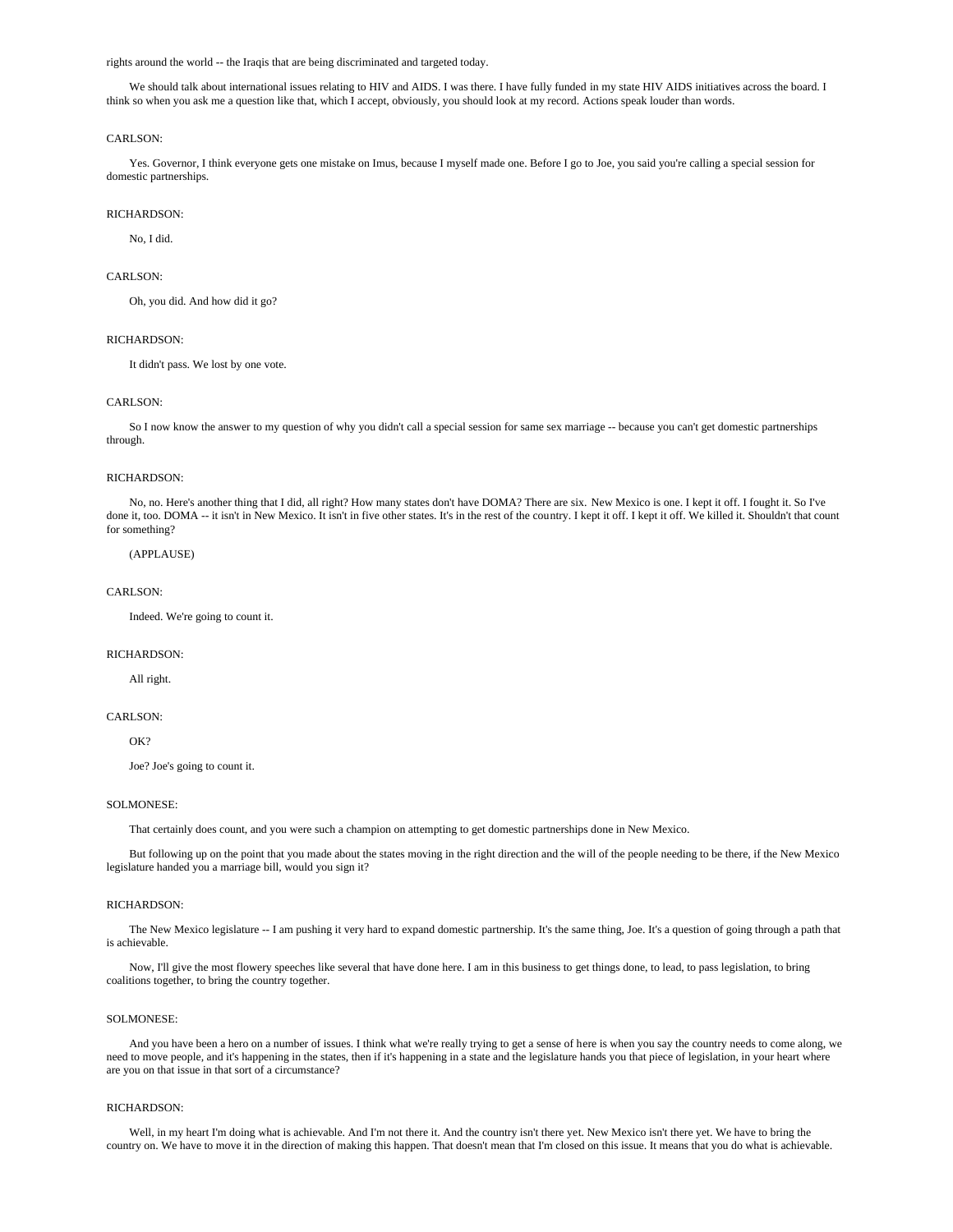rights around the world -- the Iraqis that are being discriminated and targeted today.

We should talk about international issues relating to HIV and AIDS. I was there. I have fully funded in my state HIV AIDS initiatives across the board. I think so when you ask me a question like that, which I accept, obviously, you should look at my record. Actions speak louder than words.

#### CARLSON<sup>.</sup>

 Yes. Governor, I think everyone gets one mistake on Imus, because I myself made one. Before I go to Joe, you said you're calling a special session for domestic partnerships.

# RICHARDSON:

No, I did.

### CARLSON:

Oh, you did. And how did it go?

#### RICHARDSON:

It didn't pass. We lost by one vote.

### CARLSON<sup>.</sup>

 So I now know the answer to my question of why you didn't call a special session for same sex marriage -- because you can't get domestic partnerships through.

## RICHARDSON:

 No, no. Here's another thing that I did, all right? How many states don't have DOMA? There are six. New Mexico is one. I kept it off. I fought it. So I've done it, too. DOMA -- it isn't in New Mexico. It isn't in five other states. It's in the rest of the country. I kept it off. I kept it off. We killed it. Shouldn't that count for something?

# (APPLAUSE)

### CARLSON:

Indeed. We're going to count it.

### RICHARDSON:

All right.

#### CARLSON<sup>.</sup>

OK?

Joe? Joe's going to count it.

## SOLMONESE:

That certainly does count, and you were such a champion on attempting to get domestic partnerships done in New Mexico.

 But following up on the point that you made about the states moving in the right direction and the will of the people needing to be there, if the New Mexico legislature handed you a marriage bill, would you sign it?

### RICHARDSON:

 The New Mexico legislature -- I am pushing it very hard to expand domestic partnership. It's the same thing, Joe. It's a question of going through a path that is achievable.

 Now, I'll give the most flowery speeches like several that have done here. I am in this business to get things done, to lead, to pass legislation, to bring coalitions together, to bring the country together.

## SOLMONESE:

 And you have been a hero on a number of issues. I think what we're really trying to get a sense of here is when you say the country needs to come along, we need to move people, and it's happening in the states, then if it's happening in a state and the legislature hands you that piece of legislation, in your heart where are you on that issue in that sort of a circumstance?

#### RICHARDSON:

 Well, in my heart I'm doing what is achievable. And I'm not there it. And the country isn't there yet. New Mexico isn't there yet. We have to bring the country on. We have to move it in the direction of making this happen. That doesn't mean that I'm closed on this issue. It means that you do what is achievable.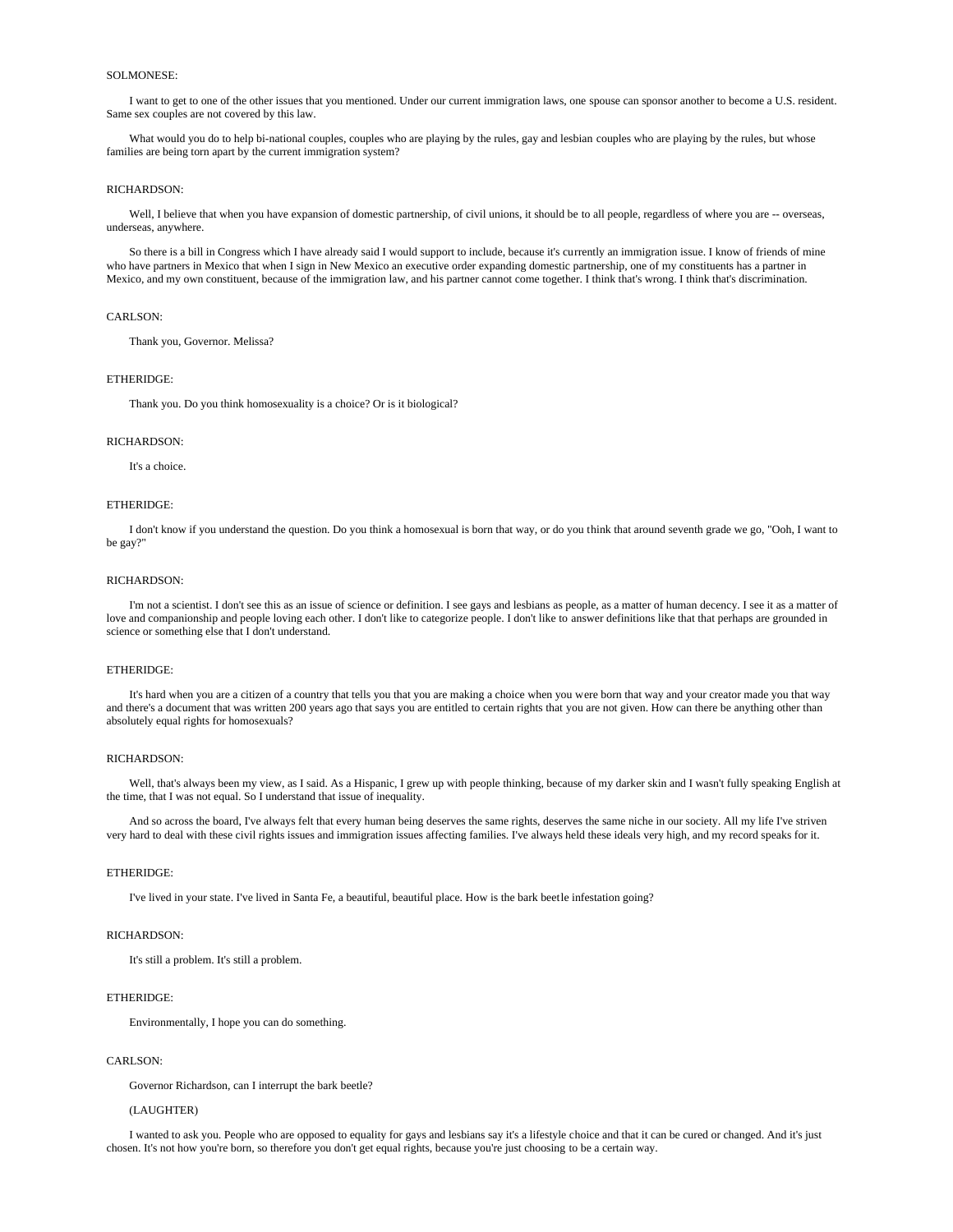# SOLMONESE:

 I want to get to one of the other issues that you mentioned. Under our current immigration laws, one spouse can sponsor another to become a U.S. resident. Same sex couples are not covered by this law.

 What would you do to help bi-national couples, couples who are playing by the rules, gay and lesbian couples who are playing by the rules, but whose families are being torn apart by the current immigration system?

### RICHARDSON:

Well, I believe that when you have expansion of domestic partnership, of civil unions, it should be to all people, regardless of where you are -- overseas, underseas, anywhere.

 So there is a bill in Congress which I have already said I would support to include, because it's currently an immigration issue. I know of friends of mine who have partners in Mexico that when I sign in New Mexico an executive order expanding domestic partnership, one of my constituents has a partner in Mexico, and my own constituent, because of the immigration law, and his partner cannot come together. I think that's wrong. I think that's discrimination.

# CARLSON:

Thank you, Governor. Melissa?

### ETHERIDGE:

Thank you. Do you think homosexuality is a choice? Or is it biological?

#### RICHARDSON:

It's a choice.

# ETHERIDGE:

 I don't know if you understand the question. Do you think a homosexual is born that way, or do you think that around seventh grade we go, "Ooh, I want to be gay?"

# RICHARDSON:

 I'm not a scientist. I don't see this as an issue of science or definition. I see gays and lesbians as people, as a matter of human decency. I see it as a matter of love and companionship and people loving each other. I don't like to categorize people. I don't like to answer definitions like that that perhaps are grounded in science or something else that I don't understand.

### ETHERIDGE:

 It's hard when you are a citizen of a country that tells you that you are making a choice when you were born that way and your creator made you that way and there's a document that was written 200 years ago that says you are entitled to certain rights that you are not given. How can there be anything other than absolutely equal rights for homosexuals?

### RICHARDSON:

 Well, that's always been my view, as I said. As a Hispanic, I grew up with people thinking, because of my darker skin and I wasn't fully speaking English at the time, that I was not equal. So I understand that issue of inequality.

 And so across the board, I've always felt that every human being deserves the same rights, deserves the same niche in our society. All my life I've striven very hard to deal with these civil rights issues and immigration issues affecting families. I've always held these ideals very high, and my record speaks for it.

# ETHERIDGE:

I've lived in your state. I've lived in Santa Fe, a beautiful, beautiful place. How is the bark beetle infestation going?

#### RICHARDSON:

It's still a problem. It's still a problem.

### ETHERIDGE:

Environmentally, I hope you can do something.

# CARLSON:

Governor Richardson, can I interrupt the bark beetle?

# (LAUGHTER)

 I wanted to ask you. People who are opposed to equality for gays and lesbians say it's a lifestyle choice and that it can be cured or changed. And it's just chosen. It's not how you're born, so therefore you don't get equal rights, because you're just choosing to be a certain way.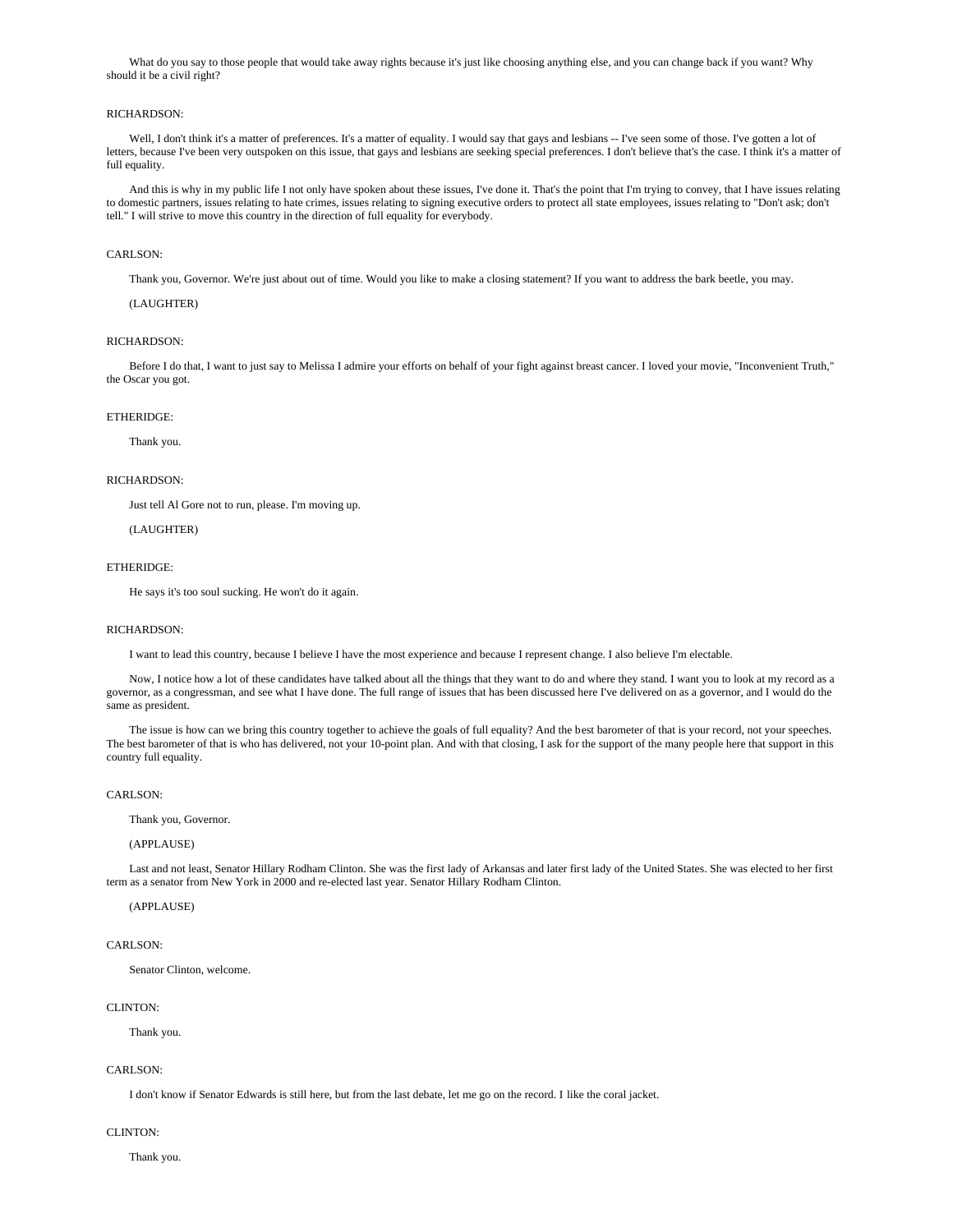What do you say to those people that would take away rights because it's just like choosing anything else, and you can change back if you want? Why should it be a civil right?

### RICHARDSON:

Well, I don't think it's a matter of preferences. It's a matter of equality. I would say that gays and lesbians -- I've seen some of those. I've gotten a lot of letters, because I've been very outspoken on this issue, that gays and lesbians are seeking special preferences. I don't believe that's the case. I think it's a matter of full equality.

 And this is why in my public life I not only have spoken about these issues, I've done it. That's the point that I'm trying to convey, that I have issues relating to domestic partners, issues relating to hate crimes, issues relating to signing executive orders to protect all state employees, issues relating to "Don't ask; don't tell." I will strive to move this country in the direction of full equality for everybody.

### CARLSON:

Thank you, Governor. We're just about out of time. Would you like to make a closing statement? If you want to address the bark beetle, you may.

#### (LAUGHTER)

# RICHARDSON:

 Before I do that, I want to just say to Melissa I admire your efforts on behalf of your fight against breast cancer. I loved your movie, "Inconvenient Truth," the Oscar you got.

#### ETHERIDGE:

Thank you.

### RICHARDSON:

Just tell Al Gore not to run, please. I'm moving up.

(LAUGHTER)

### ETHERIDGE:

He says it's too soul sucking. He won't do it again.

#### RICHARDSON:

I want to lead this country, because I believe I have the most experience and because I represent change. I also believe I'm electable.

Now, I notice how a lot of these candidates have talked about all the things that they want to do and where they stand. I want you to look at my record as a governor, as a congressman, and see what I have done. The full range of issues that has been discussed here I've delivered on as a governor, and I would do the same as president.

The issue is how can we bring this country together to achieve the goals of full equality? And the best barometer of that is your record, not your speeches. The best barometer of that is who has delivered, not your 10-point plan. And with that closing, I ask for the support of the many people here that support in this country full equality.

### CARLSON:

Thank you, Governor.

# (APPLAUSE)

 Last and not least, Senator Hillary Rodham Clinton. She was the first lady of Arkansas and later first lady of the United States. She was elected to her first term as a senator from New York in 2000 and re-elected last year. Senator Hillary Rodham Clinton.

# (APPLAUSE)

# CARLSON:

Senator Clinton, welcome.

# CLINTON:

Thank you.

### CARLSON:

I don't know if Senator Edwards is still here, but from the last debate, let me go on the record. I like the coral jacket.

# CLINTON:

Thank you.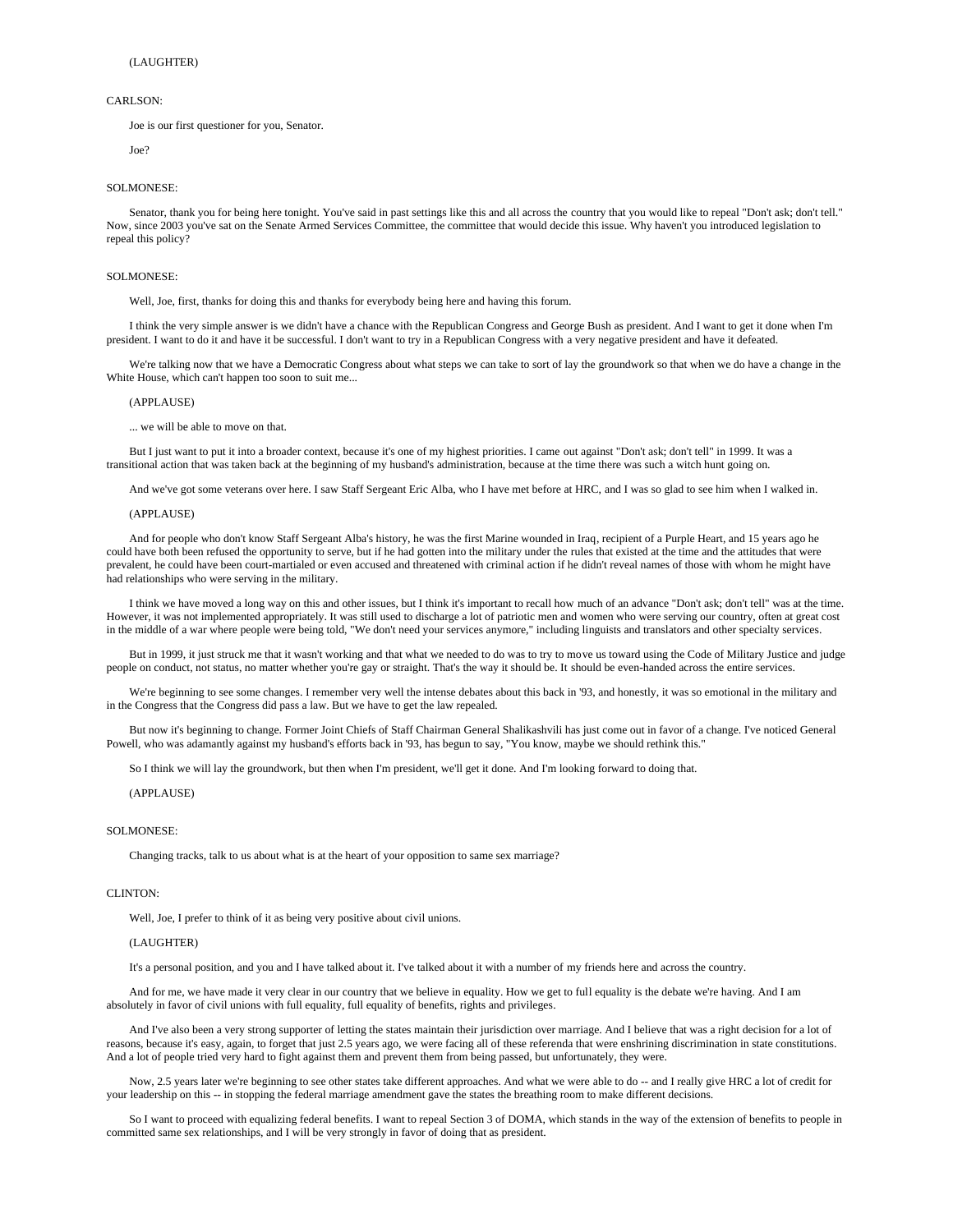Joe is our first questioner for you, Senator.

Joe?

### SOLMONESE:

 Senator, thank you for being here tonight. You've said in past settings like this and all across the country that you would like to repeal "Don't ask; don't tell." Now, since 2003 you've sat on the Senate Armed Services Committee, the committee that would decide this issue. Why haven't you introduced legislation to repeal this policy?

#### SOLMONESE:

Well, Joe, first, thanks for doing this and thanks for everybody being here and having this forum.

 I think the very simple answer is we didn't have a chance with the Republican Congress and George Bush as president. And I want to get it done when I'm president. I want to do it and have it be successful. I don't want to try in a Republican Congress with a very negative president and have it defeated.

 We're talking now that we have a Democratic Congress about what steps we can take to sort of lay the groundwork so that when we do have a change in the White House, which can't happen too soon to suit me...

### (APPLAUSE)

... we will be able to move on that.

 But I just want to put it into a broader context, because it's one of my highest priorities. I came out against "Don't ask; don't tell" in 1999. It was a transitional action that was taken back at the beginning of my husband's administration, because at the time there was such a witch hunt going on.

And we've got some veterans over here. I saw Staff Sergeant Eric Alba, who I have met before at HRC, and I was so glad to see him when I walked in.

#### (APPLAUSE)

 And for people who don't know Staff Sergeant Alba's history, he was the first Marine wounded in Iraq, recipient of a Purple Heart, and 15 years ago he could have both been refused the opportunity to serve, but if he had gotten into the military under the rules that existed at the time and the attitudes that were prevalent, he could have been court-martialed or even accused and threatened with criminal action if he didn't reveal names of those with whom he might have had relationships who were serving in the military.

 I think we have moved a long way on this and other issues, but I think it's important to recall how much of an advance "Don't ask; don't tell" was at the time. However, it was not implemented appropriately. It was still used to discharge a lot of patriotic men and women who were serving our country, often at great cost in the middle of a war where people were being told, "We don't need your services anymore," including linguists and translators and other specialty services.

 But in 1999, it just struck me that it wasn't working and that what we needed to do was to try to move us toward using the Code of Military Justice and judge people on conduct, not status, no matter whether you're gay or straight. That's the way it should be. It should be even-handed across the entire services.

 We're beginning to see some changes. I remember very well the intense debates about this back in '93, and honestly, it was so emotional in the military and in the Congress that the Congress did pass a law. But we have to get the law repealed.

 But now it's beginning to change. Former Joint Chiefs of Staff Chairman General Shalikashvili has just come out in favor of a change. I've noticed General Powell, who was adamantly against my husband's efforts back in '93, has begun to say, "You know, maybe we should rethink this."

So I think we will lay the groundwork, but then when I'm president, we'll get it done. And I'm looking forward to doing that.

(APPLAUSE)

#### SOLMONESE:

Changing tracks, talk to us about what is at the heart of your opposition to same sex marriage?

### CLINTON<sup>.</sup>

Well, Joe, I prefer to think of it as being very positive about civil unions.

#### (LAUGHTER)

It's a personal position, and you and I have talked about it. I've talked about it with a number of my friends here and across the country.

 And for me, we have made it very clear in our country that we believe in equality. How we get to full equality is the debate we're having. And I am absolutely in favor of civil unions with full equality, full equality of benefits, rights and privileges.

 And I've also been a very strong supporter of letting the states maintain their jurisdiction over marriage. And I believe that was a right decision for a lot of reasons, because it's easy, again, to forget that just 2.5 years ago, we were facing all of these referenda that were enshrining discrimination in state constitutions. And a lot of people tried very hard to fight against them and prevent them from being passed, but unfortunately, they were.

Now, 2.5 years later we're beginning to see other states take different approaches. And what we were able to do -- and I really give HRC a lot of credit for your leadership on this -- in stopping the federal marriage amendment gave the states the breathing room to make different decisions.

 So I want to proceed with equalizing federal benefits. I want to repeal Section 3 of DOMA, which stands in the way of the extension of benefits to people in committed same sex relationships, and I will be very strongly in favor of doing that as president.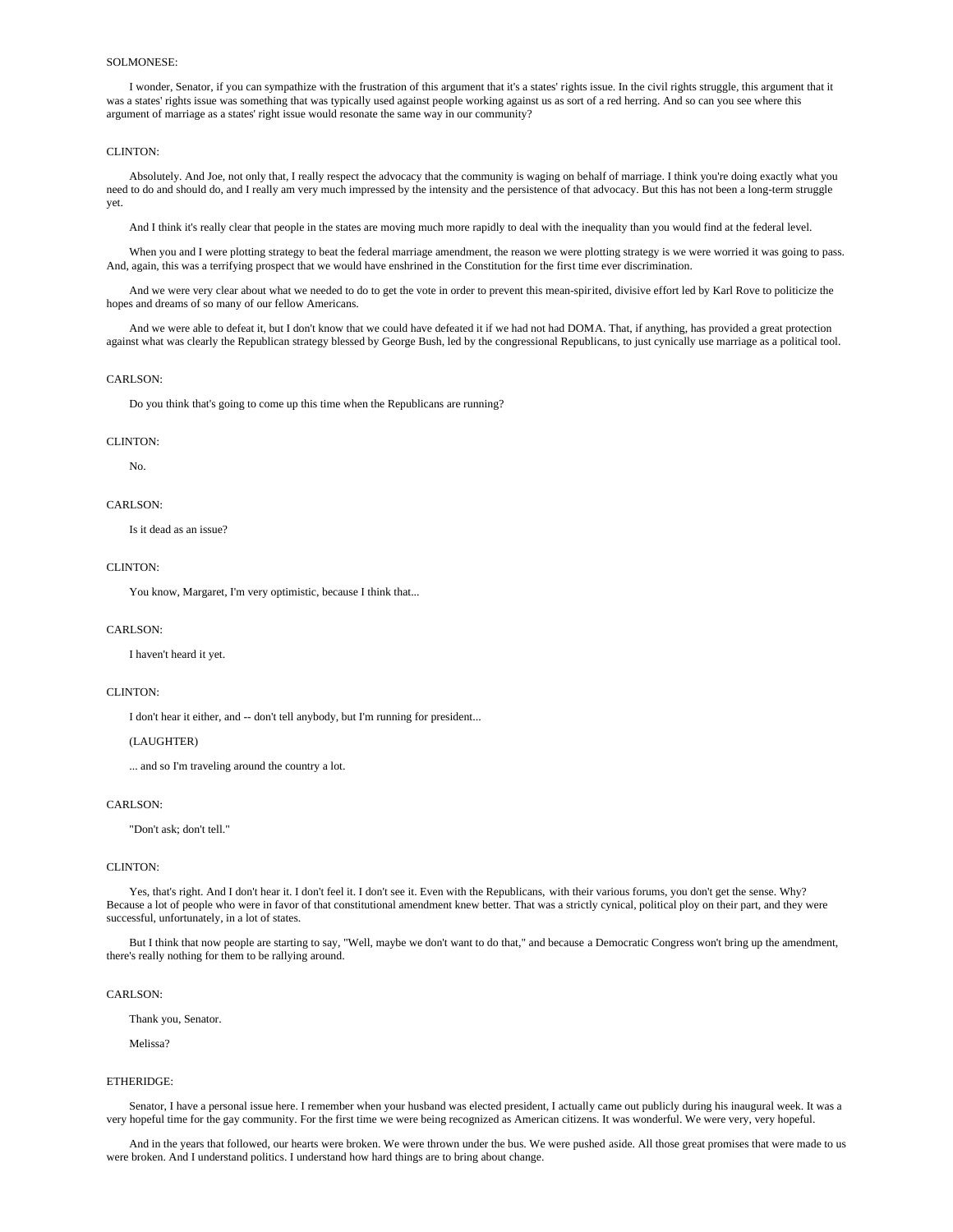### SOLMONESE:

 I wonder, Senator, if you can sympathize with the frustration of this argument that it's a states' rights issue. In the civil rights struggle, this argument that it was a states' rights issue was something that was typically used against people working against us as sort of a red herring. And so can you see where this argument of marriage as a states' right issue would resonate the same way in our community?

### CLINTON:

 Absolutely. And Joe, not only that, I really respect the advocacy that the community is waging on behalf of marriage. I think you're doing exactly what you need to do and should do, and I really am very much impressed by the intensity and the persistence of that advocacy. But this has not been a long-term struggle yet.

And I think it's really clear that people in the states are moving much more rapidly to deal with the inequality than you would find at the federal level.

When you and I were plotting strategy to beat the federal marriage amendment, the reason we were plotting strategy is we were worried it was going to pass. And, again, this was a terrifying prospect that we would have enshrined in the Constitution for the first time ever discrimination.

 And we were very clear about what we needed to do to get the vote in order to prevent this mean-spirited, divisive effort led by Karl Rove to politicize the hopes and dreams of so many of our fellow Americans.

 And we were able to defeat it, but I don't know that we could have defeated it if we had not had DOMA. That, if anything, has provided a great protection against what was clearly the Republican strategy blessed by George Bush, led by the congressional Republicans, to just cynically use marriage as a political tool.

# CARLSON:

Do you think that's going to come up this time when the Republicans are running?

#### CLINTON:

No.

#### CARLSON:

Is it dead as an issue?

### CLINTON:

You know, Margaret, I'm very optimistic, because I think that...

### CARLSON:

I haven't heard it yet.

### CLINTON:

I don't hear it either, and -- don't tell anybody, but I'm running for president...

# (LAUGHTER)

... and so I'm traveling around the country a lot.

## CARLSON<sup>.</sup>

"Don't ask; don't tell."

#### CLINTON:

Yes, that's right. And I don't hear it. I don't feel it. I don't see it. Even with the Republicans, with their various forums, you don't get the sense. Why? Because a lot of people who were in favor of that constitutional amendment knew better. That was a strictly cynical, political ploy on their part, and they were successful, unfortunately, in a lot of states.

 But I think that now people are starting to say, "Well, maybe we don't want to do that," and because a Democratic Congress won't bring up the amendment, there's really nothing for them to be rallying around.

### CARLSON:

Thank you, Senator.

Melissa?

#### ETHERIDGE:

 Senator, I have a personal issue here. I remember when your husband was elected president, I actually came out publicly during his inaugural week. It was a very hopeful time for the gay community. For the first time we were being recognized as American citizens. It was wonderful. We were very, very hopeful.

 And in the years that followed, our hearts were broken. We were thrown under the bus. We were pushed aside. All those great promises that were made to us were broken. And I understand politics. I understand how hard things are to bring about change.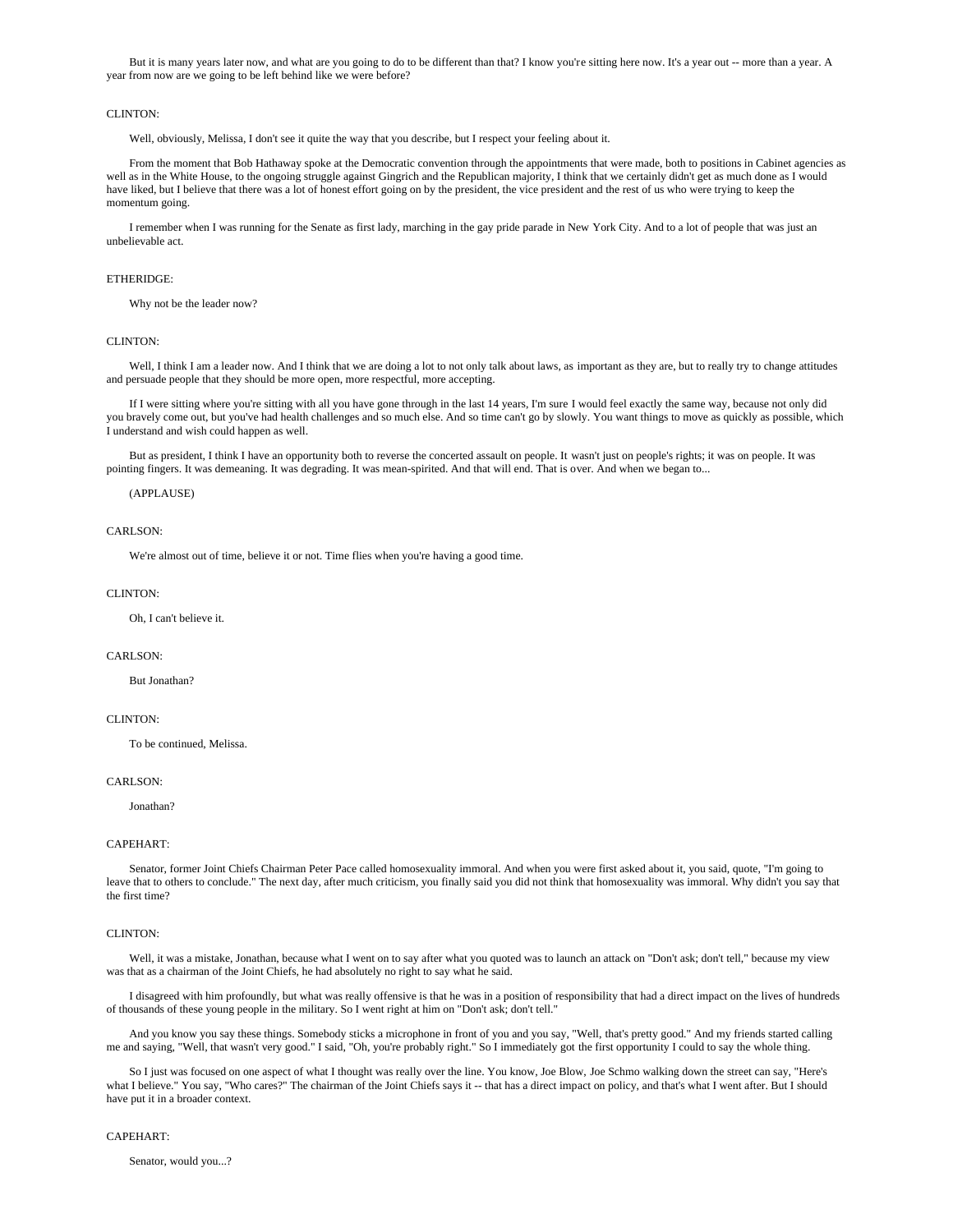But it is many years later now, and what are you going to do to be different than that? I know you're sitting here now. It's a year out -- more than a year. A year from now are we going to be left behind like we were before?

# CLINTON:

Well, obviously, Melissa, I don't see it quite the way that you describe, but I respect your feeling about it.

 From the moment that Bob Hathaway spoke at the Democratic convention through the appointments that were made, both to positions in Cabinet agencies as well as in the White House, to the ongoing struggle against Gingrich and the Republican majority, I think that we certainly didn't get as much done as I would have liked, but I believe that there was a lot of honest effort going on by the president, the vice president and the rest of us who were trying to keep the momentum going.

 I remember when I was running for the Senate as first lady, marching in the gay pride parade in New York City. And to a lot of people that was just an unbelievable act.

#### ETHERIDGE:

Why not be the leader now?

# CLINTON:

Well, I think I am a leader now. And I think that we are doing a lot to not only talk about laws, as important as they are, but to really try to change attitudes and persuade people that they should be more open, more respectful, more accepting.

 If I were sitting where you're sitting with all you have gone through in the last 14 years, I'm sure I would feel exactly the same way, because not only did you bravely come out, but you've had health challenges and so much else. And so time can't go by slowly. You want things to move as quickly as possible, which I understand and wish could happen as well.

 But as president, I think I have an opportunity both to reverse the concerted assault on people. It wasn't just on people's rights; it was on people. It was pointing fingers. It was demeaning. It was degrading. It was mean-spirited. And that will end. That is over. And when we began to...

#### (APPLAUSE)

### CARLSON:

We're almost out of time, believe it or not. Time flies when you're having a good time.

#### CLINTON·

Oh, I can't believe it.

### CARLSON:

But Jonathan?

### CLINTON:

To be continued, Melissa.

### CARLSON:

Jonathan?

### CAPEHART:

 Senator, former Joint Chiefs Chairman Peter Pace called homosexuality immoral. And when you were first asked about it, you said, quote, "I'm going to leave that to others to conclude." The next day, after much criticism, you finally said you did not think that homosexuality was immoral. Why didn't you say that the first time?

# CLINTON:

 Well, it was a mistake, Jonathan, because what I went on to say after what you quoted was to launch an attack on "Don't ask; don't tell," because my view was that as a chairman of the Joint Chiefs, he had absolutely no right to say what he said.

 I disagreed with him profoundly, but what was really offensive is that he was in a position of responsibility that had a direct impact on the lives of hundreds of thousands of these young people in the military. So I went right at him on "Don't ask; don't tell."

 And you know you say these things. Somebody sticks a microphone in front of you and you say, "Well, that's pretty good." And my friends started calling me and saying, "Well, that wasn't very good." I said, "Oh, you're probably right." So I immediately got the first opportunity I could to say the whole thing.

 So I just was focused on one aspect of what I thought was really over the line. You know, Joe Blow, Joe Schmo walking down the street can say, "Here's what I believe." You say, "Who cares?" The chairman of the Joint Chiefs says it -- that has a direct impact on policy, and that's what I went after. But I should have put it in a broader context.

#### CAPEHART:

Senator, would you...?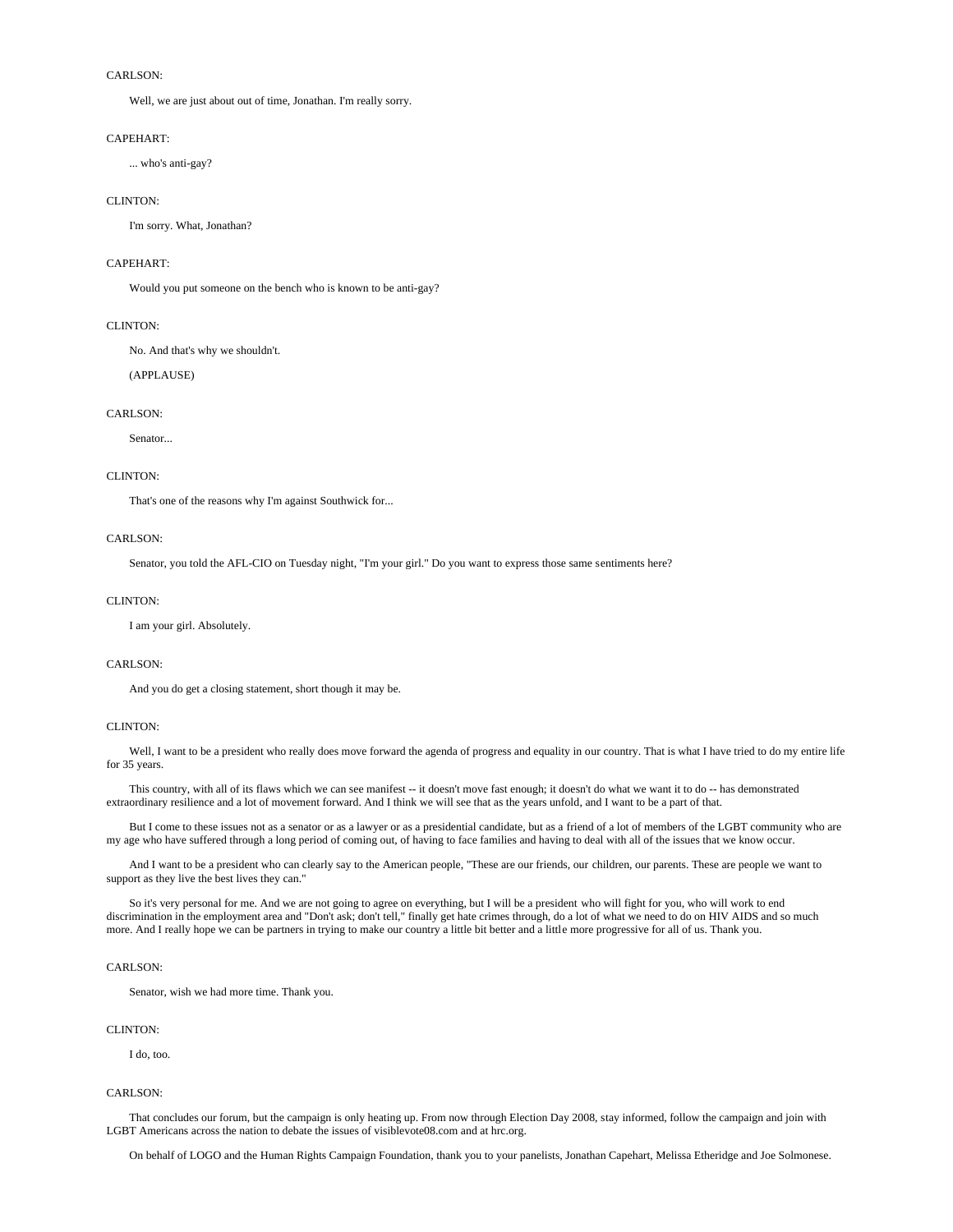Well, we are just about out of time, Jonathan. I'm really sorry.

### CAPEHART:

... who's anti-gay?

# CLINTON:

I'm sorry. What, Jonathan?

# CAPEHART:

Would you put someone on the bench who is known to be anti-gay?

# CLINTON:

No. And that's why we shouldn't.

(APPLAUSE)

### CARLSON<sup>.</sup>

Senator...

### CLINTON:

That's one of the reasons why I'm against Southwick for...

# CARLSON:

Senator, you told the AFL-CIO on Tuesday night, "I'm your girl." Do you want to express those same sentiments here?

# CLINTON:

I am your girl. Absolutely.

# CARLSON<sup>.</sup>

And you do get a closing statement, short though it may be.

### CLINTON:

 Well, I want to be a president who really does move forward the agenda of progress and equality in our country. That is what I have tried to do my entire life for 35 years.

 This country, with all of its flaws which we can see manifest -- it doesn't move fast enough; it doesn't do what we want it to do -- has demonstrated extraordinary resilience and a lot of movement forward. And I think we will see that as the years unfold, and I want to be a part of that.

 But I come to these issues not as a senator or as a lawyer or as a presidential candidate, but as a friend of a lot of members of the LGBT community who are my age who have suffered through a long period of coming out, of having to face families and having to deal with all of the issues that we know occur.

 And I want to be a president who can clearly say to the American people, "These are our friends, our children, our parents. These are people we want to support as they live the best lives they can."

 So it's very personal for me. And we are not going to agree on everything, but I will be a president who will fight for you, who will work to end discrimination in the employment area and "Don't ask; don't tell," finally get hate crimes through, do a lot of what we need to do on HIV AIDS and so much more. And I really hope we can be partners in trying to make our country a little bit better and a little more progressive for all of us. Thank you.

# CARLSON:

Senator, wish we had more time. Thank you.

# CLINTON·

I do, too.

### CARLSON:

 That concludes our forum, but the campaign is only heating up. From now through Election Day 2008, stay informed, follow the campaign and join with LGBT Americans across the nation to debate the issues of visiblevote08.com and at hrc.org.

On behalf of LOGO and the Human Rights Campaign Foundation, thank you to your panelists, Jonathan Capehart, Melissa Etheridge and Joe Solmonese.